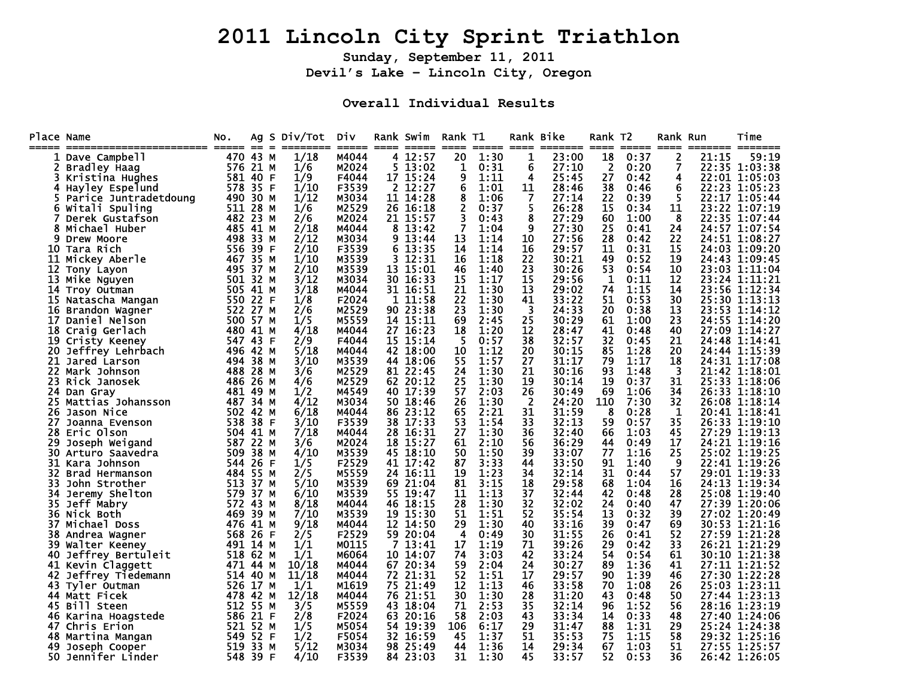## **2011 Lincoln City Sprint Triathlon**

**Sunday, September 11, 2011 Devil's Lake – Lincoln City, Oregon** 

**Overall Individual Results** 

| Place Name<br>===== |                                 | NO.        | $=$<br>$=$   | Ag S Div/Tot | Div<br>=====   |                | Rank Swim         | Rank T1<br>==== | =====        | ====     | Rank Bike<br>======= | Rank T2<br>==== |              | Rank Run<br>$====$ | ======= | Time<br>$\qquad \qquad \blacksquare \blacksquare \blacksquare \blacksquare \blacksquare \blacksquare \blacksquare \blacksquare$ |
|---------------------|---------------------------------|------------|--------------|--------------|----------------|----------------|-------------------|-----------------|--------------|----------|----------------------|-----------------|--------------|--------------------|---------|---------------------------------------------------------------------------------------------------------------------------------|
|                     | Dave Campbell                   |            | 470 43 M     | 1/18         | M4044          |                | 4 12:57           | 20              | 1:30         | 1        | 23:00                | 18              | 0:37         | 2                  | 21:15   | 59:19                                                                                                                           |
|                     | Bradley Haag                    |            | 576 21 M     | 1/6          | M2024          | 5              | 13:02             | 1               | 0:31         | 6        | 27:10                | 2               | 0:20         | 7                  |         | 22:35 1:03:38                                                                                                                   |
|                     | Kristina Hughes                 | 581        | 40 F         | 1/9          | F4044          |                | 17 15:24          | 9               | 1:11         | 4        | 25:45                | 27              | 0:42         | 4                  |         | 22:01 1:05:03                                                                                                                   |
| 4                   | Hayley Espelund                 | 578        | 35 F         | 1/10         | F3539          | $\overline{2}$ | 12:27             | 6               | 1:01         | 11       | 28:46                | 38              | 0:46         | 6                  |         | 22:23 1:05:23                                                                                                                   |
| 5                   | Parice Juntradetdoung           |            | 490 30 M     | 1/12         | M3034          |                | 11 14:28          | 8               | 1:06         | 7        | 27:14                | 22              | 0:39         | 5                  |         | 22:17 1:05:44                                                                                                                   |
| 6                   | Witali Spuling                  | 511        | 28 M         | 1/6          | M2529          |                | 26 16:18          | 2               | 0:37         | 5        | 26:28                | 15              | 0:34         | 11                 |         | 23:22 1:07:19                                                                                                                   |
|                     | Derek Gustafson                 | 482        | 23 M         | 2/6          | M2024          |                | 21 15:57          | 3               | 0:43         | 8        | 27:29                | 60              | 1:00         | 8                  |         | 22:35 1:07:44                                                                                                                   |
| 8                   | Michael Huber                   |            | 485 41 M     | 2/18         | M4044          | 8              | 13:42             | $\overline{7}$  | 1:04         | 9        | 27:30                | 25              | 0:41         | 24                 |         | 24:57 1:07:54                                                                                                                   |
| 9                   | Drew Moore                      | 498        | 33 M         | 2/12         | M3034          | 9              | 13:44             | 13              | 1:14         | 10       | 27:56                | 28              | 0:42         | 22                 |         | 24:51 1:08:27                                                                                                                   |
| 10                  | Tara Rich                       | 556        | 39 F         | 2/10         | F3539          | 6              | 13:35             | 14              | 1:14         | 16       | 29:57                | 11              | 0:31         | 15                 |         | 24:03 1:09:20                                                                                                                   |
| 11                  | Mickey Aberle                   | 467        | 35 M         | 1/10         | M3539          |                | 12:31             | 16              | 1:18         | 22       | 30:21                | 49              | 0:52         | 19                 |         | 24:43 1:09:45                                                                                                                   |
| 12                  | Tony Layon                      |            | 495 37 M     | 2/10         | M3539          | 13             | 15:01             | 46              | 1:40         | 23       | 30:26                | 53              | 0:54         | 10                 |         | 23:03 1:11:04                                                                                                                   |
| 13                  | Mike Nguyen                     | 501        | 32 M         | 3/12         | M3034          |                | 30 16:33          | 15              | 1:17         | 15       | 29:56                | 1               | 0:11         | 12                 |         | 23:24 1:11:21                                                                                                                   |
| 14                  | Troy Outman                     |            | 505 41 M     | 3/18         | M4044          |                | 31 16:51          | 21              | 1:30         | 13       | 29:02                | 74              | 1:15         | 14                 |         | 23:56 1:12:34                                                                                                                   |
| 15                  | Natascha Mangan                 | 550        | 22 F         | 1/8          | F2024          | 1              | 11:58             | 22              | 1:30         | 41       | 33:22                | 51              | 0:53         | 30                 |         | 25:30 1:13:13                                                                                                                   |
| 16                  | Brandon Wagner                  | 522        | 27 M         | 2/6          | M2529          |                | 90 23:38          | 23              | 1:30         | 3        | 24:33                | 20              | 0:38         | 13                 |         | 23:53 1:14:12                                                                                                                   |
| 17                  | Daniel Nelson                   |            | 500 57 M     | 1/5          | M5559          |                | 14 15:11          | 69              | 2:45         | 25       | 30:29                | 61              | 1:00         | 23                 |         | 24:55 1:14:20                                                                                                                   |
| 18                  | Craig Gerlach                   |            | 480 41 M     | 4/18         | м4044          | 27             | 16:23             | 18              | 1:20         | 12       | 28:47                | 41              | 0:48         | 40                 |         | 27:09 1:14:27                                                                                                                   |
| 19                  | Cristy Keeney                   |            | 547 43 F     | 2/9          | F4044          |                | 15 15:14          | 5               | 0:57         | 38       | 32:57                | 32              | 0:45         | 21                 |         | 24:48 1:14:41                                                                                                                   |
| 20                  | Jeffrey Lehrbach                |            | 496 42 M     | 5/18         | M4044          | 42             | 18:00             | 10              | 1:12         | 20       | 30:15                | 85              | 1:28         | 20                 |         | 24:44 1:15:39                                                                                                                   |
| 21                  | Jared Larson                    | 494.       | 38 M         | 3/10         | M3539          | 44             | 18:06             | 55              | 1:57         | 27       | 31:17                | 79              | 1:17         | 18                 |         | 24:31 1:17:08                                                                                                                   |
| 22.                 | Mark Johnson                    | 488        | 28 M         | 3/6          | M2529          | 81             | 22:45             | 24              | 1:30         | 21       | 30:16                | 93              | 1:48         | 3                  |         | 21:42 1:18:01                                                                                                                   |
| 23                  | Rick Janosek                    |            | 486 26 м     | 4/6          | M2529<br>M4549 | 62.            | 20:12             | 25<br>57        | 1:30         | 19<br>26 | 30:14                | 19              | 0:37         | 31<br>34           |         | 25:33 1:18:06<br>26:33 1:18:10                                                                                                  |
| 24<br>25            | Dan Gray                        | 481<br>487 | 49 M         | 1/2<br>4/12  | M3034          | 50.            | 40 17:39<br>18:46 | 26              | 2:03<br>1:30 | -2       | 30:49<br>24:20       | 69<br>110       | 1:06<br>7:30 | 32                 |         | 26:08 1:18:14                                                                                                                   |
| 26                  | Mattias Johansson<br>Jason Nice | 502        | 34 M<br>42 M | 6/18         | M4044          | 86             | 23:12             | 65              | 2:21         | 31       | 31:59                | 8               | 0:28         | 1                  |         | 20:41 1:18:41                                                                                                                   |
| 27                  | Joanna Evenson                  | 538        | 38 F         | 3/10         | F3539          | 38             | 17:33             | 53              | 1:54         | 33       | 32:13                | 59              | 0:57         | 35                 |         | 26:33 1:19:10                                                                                                                   |
| 28                  | Eric Olson                      | 504        | 41 M         | 7/18         | M4044          | 28             | 16:31             | 27              | 1:30         | 36       | 32:40                | 66              | 1:03         | 45                 |         | 27:29 1:19:13                                                                                                                   |
| 29                  | Joseph Weigand                  | 587        | 22 M         | 3/6          | M2024          | 18             | 15:27             | 61              | 2:10         | 56       | 36:29                | 44              | 0:49         | 17                 |         | 24:21 1:19:16                                                                                                                   |
| 30                  | Arturo Saavedra                 | 509        | 38 M         | <b>4/10</b>  | M3539          | 45             | 18:10             | 50              | 1:50         | 39       | 33:07                | 77              | 1:16         | 25                 |         | 25:02 1:19:25                                                                                                                   |
| 31                  | Kara Johnson                    | 544        | 26 F         | 1/5          | F2529          |                | 41 17:42          | 87              | 3:33         | 44       | 33:50                | 91              | 1:40         | 9                  |         | 22:41 1:19:26                                                                                                                   |
| 32.                 | Brad Hermanson                  |            | 484 55 M     | 2/5          | M5559          | 24             | 16:11             | 19              | 1:23         | 34       | 32:14                | 31              | 0:44         | 57                 |         | 29:01 1:19:33                                                                                                                   |
| 33                  | John Strother                   | 513        | 37 M         | 5/10         | M3539          | 69             | 21:04             | 81              | 3:15         | 18       | 29:58                | 68              | 1:04         | 16                 |         | 24:13 1:19:34                                                                                                                   |
| 34                  | Jeremy Shelton                  | 579        | 37 M         | 6/10         | M3539          | 55             | 19:47             | 11              | 1:13         | 37       | 32:44                | 42              | 0:48         | 28                 |         | 25:08 1:19:40                                                                                                                   |
| 35                  | Jeff Mabry                      | 572        | 43 M         | 8/18         | M4044          | 46             | 18:15             | 28              | 1:30         | 32       | 32:02                | 24              | 0:40         | 47                 |         | 27:39 1:20:06                                                                                                                   |
| 36                  | Nick Both                       | 469        | 39 M         | 7/10         | M3539          | 19             | 15:30             | 51              | 1:51         | 52       | 35:54                | 13              | 0:32         | 39                 |         | 27:02 1:20:49                                                                                                                   |
| 37                  | Michael Doss                    | 476        | 41 M         | 9/18         | M4044          | 12             | 14:50             | 29              | 1:30         | 40       | 33:16                | 39              | 0:47         | 69                 |         | 30:53 1:21:16                                                                                                                   |
| 38                  | Andrea Wagner                   | 568        | 26 F         | 2/5          | F2529          | 59             | 20:04             | 4               | 0:49         | 30       | 31:55                | 26              | 0:41         | 52                 |         | 27:59 1:21:28                                                                                                                   |
| 39                  | Walter Keeney                   | 491        | 14 M         | 1/1          | M0115          |                | 13:41             | 17              | 1:19         | 71       | 39:26                | 29              | 0:42         | 33                 |         | 26:21 1:21:29                                                                                                                   |
| 40                  | Jeffrey Bertuleit               | 518        | 62 M         | 1/1          | м6064          | 10             | 14:07             | 74              | 3:03         | 42       | 33:24                | 54              | 0:54         | 61                 |         | 30:10 1:21:38                                                                                                                   |
| 41                  | Kevin Claggett                  | 471        | 44 M         | 10/18        | M4044          |                | 67 20:34          | 59              | 2:04         | 24       | 30:27                | 89              | 1:36         | 41                 |         | 27:11 1:21:52                                                                                                                   |
| 42                  | Jeffrey Tiedemann               | 514        | 40 M         | 11/18        | M4044          | 72             | 21:31             | 52              | 1:51         | 17       | 29:57                | 90              | 1:39         | 46                 |         | 27:30 1:22:28                                                                                                                   |
| 43                  | Tyler Outman                    | 526        | 17 M         | 1/1          | M1619          | 75             | 21:49             | 12              | 1:13         | 46       | 33:58                | 70              | 1:08         | 26                 |         | 25:03 1:23:11                                                                                                                   |
|                     | 44 Matt Ficek                   | 478        | 42 M         | 12/18        | M4044          | 76             | 21:51             | 30              | 1:30         | 28       | 31:20                | 43              | 0:48         | 50                 |         | 27:44 1:23:13                                                                                                                   |
| 45.                 | Bill Steen                      | 512        | 55 M         | 3/5          | M5559          | 43             | 18:04             | 71              | 2:53         | 35       | 32:14                | 96              | 1:52         | 56                 |         | 28:16 1:23:19                                                                                                                   |
| 46                  | Karina Hoagstede                | 586        | 21 F         | 2/8          | F2024          | 63             | 20:16             | 58              | 2:03         | 43       | 33:34                | 14              | 0:33         | 48                 |         | 27:40 1:24:06                                                                                                                   |
| 47                  | Chris Erion                     | 521        | 52 M         | 1/5          | M5054          | 54             | 19:39             | 106             | 6:17         | 29       | 31:47                | 88              | 1:31         | 29                 |         | 25:24 1:24:38                                                                                                                   |
| 48                  | Martina Mangan                  |            | 549 52 F     | 1/2          | F5054          | 32.            | 16:59             | 45              | 1:37         | 51       | 35:53                | 75              | 1:15         | 58                 |         | 29:32 1:25:16                                                                                                                   |
| 49                  | Joseph Cooper                   |            | 519 33 M     | 5/12         | м3034          | 98             | 25:49             | 44              | 1:36         | 14       | 29:34                | 67              | 1:03         | 51                 |         | 27:55 1:25:57                                                                                                                   |
| 50.                 | Jennifer Linder                 |            | 548 39 F     | 4/10         | F3539          |                | 84 23:03          | 31              | 1:30         | 45       | 33:57                | 52              | 0:53         | 36                 |         | 26:42 1:26:05                                                                                                                   |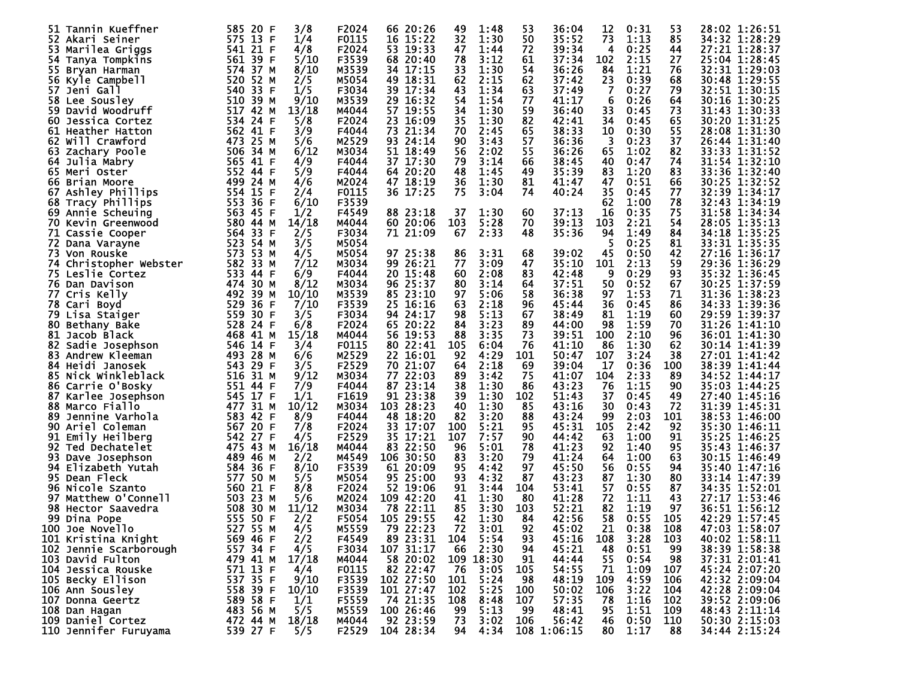| 32<br>35:52<br>73<br>575<br>13 F<br>F0115<br>15:22<br>1:30<br>50<br>1:13<br>85<br>34:32 1:28:29<br>1/4<br>16<br>52.<br>Akari Seiner<br>F2024<br>39:34<br>27:21 1:28:37<br>4/8<br>53<br>19:33<br>47<br>72<br>0:25<br>53<br>Marilea Griggs<br>541 21 F<br>1:44<br>4<br>44<br>F3539<br>78<br>3:12<br>61<br>37:34<br>102<br>2:15<br>27<br>561 39 F<br>5/10<br>68 20:40<br>25:04 1:28:45<br>54.<br>Tanya Tompkins<br>M3539<br>33<br>54<br>76<br>32:31 1:29:03<br>8/10<br>34<br>1:30<br>36:26<br>84<br>1:21<br>574 37 M<br>17:15<br>55.<br>Bryan Harman<br>M5054<br>520<br>49 18:31<br>2:15<br>62<br>0:39<br>68<br>30:48 1:29:55<br>52 M<br>62<br>37:42<br>23<br>56.<br>Kyle Campbell<br>2/5<br>F3034<br>43<br>63<br>79<br>33 F<br>1/5<br>39<br>17:34<br>1:34<br>37:49<br>7<br>0:27<br>32:51 1:30:15<br>57<br>540.<br>Jeni Gall<br>M3539<br>510 39 M<br>16:32<br>54<br>77<br>41:17<br>6<br>0:26<br>64<br>30:16 1:30:25<br>9/10<br>29.<br>1:54<br>58.<br>Lee Sousley<br>34<br>59<br>33<br>73<br>517 42 M<br>13/18<br>M4044<br>57 19:55<br>1:30<br>36:40<br>31:43 1:30:33<br>59<br>David Woodruff<br>0:45<br>534<br>F2024<br>35<br>1:30<br>82<br>42:41<br>65<br>30:20 1:31:25<br>24 F<br>5/8<br>23 16:09<br>34<br>0:45<br>60<br>Jessica Cortez<br>65<br>55<br>3/9<br>F4044<br>73<br>70<br>2:45<br>38:33<br>10<br>0:30<br>28:08 1:31:30<br>562<br>41 F<br>21:34<br>61<br><b>Heather Hatton</b><br>M2529<br>57<br>90<br>36:36<br>37<br>473 25 M<br>5/6<br>93.<br>24:14<br>3:43<br>3<br>0:23<br>26:44 1:31:40<br>62<br>Will Crawford<br>M3034<br>55<br>82<br>33:33 1:31:52<br>6/12<br>51<br>18:49<br>56<br>1:02<br>506.<br>34 M<br>2:02<br>36:26<br>65<br>63<br>Zachary Poole<br>F4044<br>79<br>3:14<br>74<br>31:54 1:32:10<br>565 41 F<br>4/9<br>37<br>17:30<br>66<br>38:45<br>40<br>0:47<br>64<br>Julia Mabry<br>83<br>552<br>5/9<br>F4044<br>48<br>49<br>35:39<br>83<br>1:20<br>33:36 1:32:40<br>44 F<br>64<br>20:20<br>1:45<br>65 Meri Oster<br>499<br>M2024<br>0:51<br>66<br>30:25 1:32:52<br>24 M<br>4/6<br>47 18:19<br>36<br>1:30<br>81<br>41:47<br>66 Brian Moore<br>47<br>32:39 1:34:17<br>35<br>77<br>554<br>F0115<br>36 17:25<br>75<br>Ashley Phillips<br>15 F<br>2/4<br>3:04<br>74<br>40:24<br>0:45<br>67<br>F3539<br>553<br>6/10<br>1:00<br>78<br>32:43 1:34:19<br>36 F<br>62<br>Tracy Phillips<br>68<br>75<br>F4549<br>88 23:18<br>37<br>1:30<br>60<br>37:13<br>16<br>0:35<br>31:58 1:34:34<br>563.<br>45 F<br>1/2<br>69.<br>Annie Scheuing<br>M4044<br>103<br>5:28<br>70<br>39:13<br>2:21<br>54<br>28:05 1:35:13<br>580 44 M<br>14/18<br>60 20:06<br>103<br>70 Kevin Greenwood<br>F3034<br>2:33<br>48<br>35:36<br>1:49<br>84<br>34:18 1:35:25<br>564.<br>33 F<br>2/5<br>71 21:09<br>67<br>94<br>71<br>Cassie Cooper<br>523<br>M5054<br>0:25<br>81<br>33:31 1:35:35<br>54 M<br>3/5<br>72.<br>Dana Varayne<br>97 25:38<br>39:02<br>573<br>53 M<br>M5054<br>86<br>3:31<br>68<br>45<br>0:50<br>42<br>27:16 1:36:17<br>73.<br>4/5<br>Von Rouske<br>582 33 M<br>M3034<br>26:21<br>77<br>3:09<br>47<br>35:10<br>101<br>2:13<br>59<br>29:36 1:36:29<br>7/12<br>99.<br>74.<br>Christopher Webster<br>0:29<br>93<br>533<br>6/9<br>F4044<br>15:48<br>60<br>83<br>42:48<br>9<br>35:32 1:36:45<br>75 Leslie Cortez<br>44 F<br>20.<br>2:08<br>M3034<br>3:14<br>64<br>37:51<br>0:52<br>30:25 1:37:59<br>474<br>30 M<br>8/12<br>96<br>-25:37<br>80<br>50<br>67<br>76.<br>Dan Davison<br>M3539<br>58<br>71<br>492<br>10/10<br>85 23:10<br>97<br>5:06<br>36:38<br>1:53<br>31:36 1:38:23<br>77<br>39 M<br>97<br>Cris Kelly<br>529<br>F3539<br>63<br>2:18<br>96<br>45:44<br>36<br>0:45<br>86<br>34:33 1:39:36<br>36 F<br>7/10<br>25 16:16<br>78 Cari Boyd<br>F3034<br>5:13<br>559<br>98<br>67<br>81<br>1:19<br>60<br>29:59 1:39:37<br>30 F<br>3/5<br>94<br>24:17<br>38:49<br>79.<br>Lisa Staiger<br>F2024<br>528<br>65 20:22<br>84<br>3:23<br>89<br>1:59<br>70<br>31:26 1:41:10<br>24 F<br>6/8<br>44:00<br>98<br>80<br>Bethany Bake<br>73<br>15/18<br>M4044<br>19:53<br>88<br>3:35<br>39:51<br>100<br>2:10<br>96<br>36:01 1:41:30<br>81<br>468<br>41 M<br>56<br>Jacob Black<br>F0115<br>76<br>1:30<br>62<br>546<br>3/4<br>80 22:41<br>105<br>6:04<br>41:10<br>86<br>30:14 1:41:39<br>82.<br>Sadie Josephson<br>14 F<br>M2529<br>27:01 1:41:42<br>28 M<br>92<br>4:29<br>101<br>107<br>3:24<br>38<br>493.<br>6/6<br>22.<br>16:01<br>50:47<br>83.<br>Andrew Kleeman<br>F2529<br>64<br>2:18<br>39:04<br>0:36<br>38:39 1:41:44<br>543 29 F<br>3/5<br>70<br>21:07<br>69<br>17<br>100<br>84<br>Heidi Janosek<br>M3034<br>75<br>9/12<br>77<br>89<br>41:07<br>104<br>2:33<br>89<br>34:52 1:44:17<br>85 Nick Winkleblack<br>516<br>31 M<br>22:03<br>3:42<br>F4044<br>87 23:14<br>38<br>1:30<br>43:23<br>1:15<br>90<br>551 44 F<br>7/9<br>86<br>76<br>35:03 1:44:25<br>86 Carrie O'Bosky<br>F1619<br>17 F<br>1/1<br>23:38<br>39<br>1:30<br>102<br>51:43<br>37<br>0:45<br>49<br>27:40 1:45:16<br>545.<br>91<br>87<br>Karlee Josephson<br>M3034<br>477<br>31 M<br>10/12<br>43:16<br>72<br>31:39 1:45:31<br>Marco Fiallo<br>103<br>28:23<br>40<br>1:30<br>85<br>30<br>0:43<br>88<br>88<br>583 42 F<br>F4044<br>82<br>3:20<br>43:24<br>2:03<br>101<br>38:53 1:46:00<br>89<br>8/9<br>48<br>18:20<br>99<br>Jennine Varhola<br>F2024<br>5:21<br>95<br>45:31<br>2:42<br>92<br>567 20 F<br>7/8<br>33 17:07<br>100<br>105<br>35:30 1:46:11<br>90<br>Ariel Coleman<br>F2529<br>35:25 1:46:25<br>35.<br>17:21<br>107<br>7:57<br>90<br>44:42<br>63<br>1:00<br>91<br>542<br>27 F<br>4/5<br>91<br>Emily Heilberg<br>43 M<br>16/18<br>M4044<br>96<br>78<br>41:23<br>95<br>35:43 1:46:37<br>475.<br>22:50<br>5:01<br>1:40<br>92<br>Ted Dechatelet<br>83<br>92<br>79<br>M4549<br>83<br>3:20<br>41:24<br>1:00<br>63<br>30:15 1:46:49<br>489<br>46 M<br>2/2<br>106 30:50<br>64<br>93<br>Dave Josephson<br>F3539<br>45:50<br>97<br>0:55<br>584 36 F<br>8/10<br>61<br>20:09<br>95<br>4:42<br>56<br>94<br>35:40 1:47:16<br>94<br>Elizabeth Yutah<br>M5054<br>93<br>95 25:00<br>4:32<br>87<br>43:23<br>1:30<br>80<br>33:14 1:47:39<br>95 Dean Fleck<br>577.<br>50 M<br>5/5<br>87<br>560<br>F2024<br>91<br>53:41<br>57<br>0:55<br>34:35 1:52:01<br>8/8<br>52 19:06<br>3:44<br>104<br>87<br>96.<br>Nicole Szanto<br>21 F<br>23 M<br>M2024<br>41<br>41:28<br>72<br>1:11<br>43<br>27:17 1:53:46<br>Matthew O'Connell<br>503.<br>5/6<br>109 42:20<br>1:30<br>80<br>97<br>M3034<br>85<br>52:21<br>82<br>1:19<br>36:51 1:56:12<br>508 30 M<br>11/12<br>78<br>22:11<br>3:30<br>103<br>97<br>98<br>Hector Saavedra<br>F5054<br>42:56<br>58<br>555<br>50 F<br>2/2<br>105 29:55<br>42<br>1:30<br>84<br>0:55<br>105<br>42:29 1:57:45<br>99.<br>Dina Pope<br>527 55 M<br>M5559<br>22:23<br>72<br>3:01<br>92<br>45:02<br>21<br>108<br>47:03 1:58:07<br>4/5<br>79<br>0:38<br>100 Joe Novello<br>89 23:31<br>2/2<br>F4549<br>5:54<br>45:16<br>3:28<br>40:02 1:58:11<br>569 46 F<br>104<br>93<br>108<br>103<br>101 Kristina Knight<br>F3034<br>107 31:17<br>66<br>2:30<br>38:39 1:58:38<br>557 34 F<br>4/5<br>94<br>45:21<br>48<br>99<br>102 Jennie Scarborough<br>0:51<br>55<br>41 M<br>109 18:30<br>37:31 2:01:41<br>479<br>17/18<br>M4044<br>58 20:02<br>91<br>44:44<br>0:54<br>-98<br>103 David Fulton<br>54:55<br>82 22:47<br>3:05<br>571 13 F<br>F0115<br>76<br>105<br>71<br>1:09<br>45:24 2:07:20<br>104 Jessica Rouske<br>4/4<br>107<br>537 35 F<br>F3539<br>102 27:50<br>42:32 2:09:04<br>5:24<br>48:19<br>109<br>4:59<br>105 Becky Ellison<br>9/10<br>101<br>98<br>106<br>F3539<br>101 27:47<br>5:25<br>42:28 2:09:04<br>558 39 F<br>10/10<br>102<br>50:02<br>106<br>3:22<br>104<br>106 Ann Sousley<br>100<br>74 21:35<br>F5559<br>57:35<br>78<br>1:16<br>39:52 2:09:06<br>589<br>58 F<br>1/1<br>108<br>8:48<br>107<br>102<br>107 Donna Geertz<br>5/5<br>M5559<br>100 26:46<br>5:13<br>483 56 M<br>99<br>48:41<br>95<br>1:51<br>109<br>48:43 2:11:14<br>108 Dan Hagan<br>99<br>92 23:59<br>472 44 M<br>73<br>50:30 2:15:03<br>M4044<br>3:02<br>106<br>56:42<br>0:50<br>110<br>109 Daniel Cortez<br>18/18<br>46<br>4:34<br>110 Jennifer Furuyama<br>539 27 F<br>F2529<br>104 28:34<br>94<br>108 1:06:15<br>80<br>1:17<br>34:44 2:15:24<br>5/5<br>88 | 51. | Tannin Kueffner | 585<br>20 F | 3/8 | F2024 | 66 20:26 | 49 | 1:48 | 53 | 36:04 | 12 | 0:31 | 53 | 28:02 1:26:51 |
|------------------------------------------------------------------------------------------------------------------------------------------------------------------------------------------------------------------------------------------------------------------------------------------------------------------------------------------------------------------------------------------------------------------------------------------------------------------------------------------------------------------------------------------------------------------------------------------------------------------------------------------------------------------------------------------------------------------------------------------------------------------------------------------------------------------------------------------------------------------------------------------------------------------------------------------------------------------------------------------------------------------------------------------------------------------------------------------------------------------------------------------------------------------------------------------------------------------------------------------------------------------------------------------------------------------------------------------------------------------------------------------------------------------------------------------------------------------------------------------------------------------------------------------------------------------------------------------------------------------------------------------------------------------------------------------------------------------------------------------------------------------------------------------------------------------------------------------------------------------------------------------------------------------------------------------------------------------------------------------------------------------------------------------------------------------------------------------------------------------------------------------------------------------------------------------------------------------------------------------------------------------------------------------------------------------------------------------------------------------------------------------------------------------------------------------------------------------------------------------------------------------------------------------------------------------------------------------------------------------------------------------------------------------------------------------------------------------------------------------------------------------------------------------------------------------------------------------------------------------------------------------------------------------------------------------------------------------------------------------------------------------------------------------------------------------------------------------------------------------------------------------------------------------------------------------------------------------------------------------------------------------------------------------------------------------------------------------------------------------------------------------------------------------------------------------------------------------------------------------------------------------------------------------------------------------------------------------------------------------------------------------------------------------------------------------------------------------------------------------------------------------------------------------------------------------------------------------------------------------------------------------------------------------------------------------------------------------------------------------------------------------------------------------------------------------------------------------------------------------------------------------------------------------------------------------------------------------------------------------------------------------------------------------------------------------------------------------------------------------------------------------------------------------------------------------------------------------------------------------------------------------------------------------------------------------------------------------------------------------------------------------------------------------------------------------------------------------------------------------------------------------------------------------------------------------------------------------------------------------------------------------------------------------------------------------------------------------------------------------------------------------------------------------------------------------------------------------------------------------------------------------------------------------------------------------------------------------------------------------------------------------------------------------------------------------------------------------------------------------------------------------------------------------------------------------------------------------------------------------------------------------------------------------------------------------------------------------------------------------------------------------------------------------------------------------------------------------------------------------------------------------------------------------------------------------------------------------------------------------------------------------------------------------------------------------------------------------------------------------------------------------------------------------------------------------------------------------------------------------------------------------------------------------------------------------------------------------------------------------------------------------------------------------------------------------------------------------------------------------------------------------------------------------------------------------------------------------------------------------------------------------------------------------------------------------------------------------------------------------------------------------------------------------------------------------------------------------------------------------------------------------------------------------------------------------------------------------------------------------------------------------------------------------------------------------------------------------------------------------------------------------------------------------------------------------------------------------------------------------------------------------------------------------------------------------------------------------------------------------------------------------------------------------------------------------------------------------------------------------------------------------------------------------------------------------------------------------------------------------------------------------------------------------------------------------------------------------------------------------------------------------------------------------------------------------------------------------------------------------------------------------------------------------------------------------------------------------------------------------------------------------------------------------------------------------------------------------------------------------------------------------------------------------------------------------------------------------|-----|-----------------|-------------|-----|-------|----------|----|------|----|-------|----|------|----|---------------|
|                                                                                                                                                                                                                                                                                                                                                                                                                                                                                                                                                                                                                                                                                                                                                                                                                                                                                                                                                                                                                                                                                                                                                                                                                                                                                                                                                                                                                                                                                                                                                                                                                                                                                                                                                                                                                                                                                                                                                                                                                                                                                                                                                                                                                                                                                                                                                                                                                                                                                                                                                                                                                                                                                                                                                                                                                                                                                                                                                                                                                                                                                                                                                                                                                                                                                                                                                                                                                                                                                                                                                                                                                                                                                                                                                                                                                                                                                                                                                                                                                                                                                                                                                                                                                                                                                                                                                                                                                                                                                                                                                                                                                                                                                                                                                                                                                                                                                                                                                                                                                                                                                                                                                                                                                                                                                                                                                                                                                                                                                                                                                                                                                                                                                                                                                                                                                                                                                                                                                                                                                                                                                                                                                                                                                                                                                                                                                                                                                                                                                                                                                                                                                                                                                                                                                                                                                                                                                                                                                                                                                                                                                                                                                                                                                                                                                                                                                                                                                                                                                                                                                                                                                                                                                                                                                                                                                                                                                                                                                                                                                                                                                          |     |                 |             |     |       |          |    |      |    |       |    |      |    |               |
|                                                                                                                                                                                                                                                                                                                                                                                                                                                                                                                                                                                                                                                                                                                                                                                                                                                                                                                                                                                                                                                                                                                                                                                                                                                                                                                                                                                                                                                                                                                                                                                                                                                                                                                                                                                                                                                                                                                                                                                                                                                                                                                                                                                                                                                                                                                                                                                                                                                                                                                                                                                                                                                                                                                                                                                                                                                                                                                                                                                                                                                                                                                                                                                                                                                                                                                                                                                                                                                                                                                                                                                                                                                                                                                                                                                                                                                                                                                                                                                                                                                                                                                                                                                                                                                                                                                                                                                                                                                                                                                                                                                                                                                                                                                                                                                                                                                                                                                                                                                                                                                                                                                                                                                                                                                                                                                                                                                                                                                                                                                                                                                                                                                                                                                                                                                                                                                                                                                                                                                                                                                                                                                                                                                                                                                                                                                                                                                                                                                                                                                                                                                                                                                                                                                                                                                                                                                                                                                                                                                                                                                                                                                                                                                                                                                                                                                                                                                                                                                                                                                                                                                                                                                                                                                                                                                                                                                                                                                                                                                                                                                                                          |     |                 |             |     |       |          |    |      |    |       |    |      |    |               |
|                                                                                                                                                                                                                                                                                                                                                                                                                                                                                                                                                                                                                                                                                                                                                                                                                                                                                                                                                                                                                                                                                                                                                                                                                                                                                                                                                                                                                                                                                                                                                                                                                                                                                                                                                                                                                                                                                                                                                                                                                                                                                                                                                                                                                                                                                                                                                                                                                                                                                                                                                                                                                                                                                                                                                                                                                                                                                                                                                                                                                                                                                                                                                                                                                                                                                                                                                                                                                                                                                                                                                                                                                                                                                                                                                                                                                                                                                                                                                                                                                                                                                                                                                                                                                                                                                                                                                                                                                                                                                                                                                                                                                                                                                                                                                                                                                                                                                                                                                                                                                                                                                                                                                                                                                                                                                                                                                                                                                                                                                                                                                                                                                                                                                                                                                                                                                                                                                                                                                                                                                                                                                                                                                                                                                                                                                                                                                                                                                                                                                                                                                                                                                                                                                                                                                                                                                                                                                                                                                                                                                                                                                                                                                                                                                                                                                                                                                                                                                                                                                                                                                                                                                                                                                                                                                                                                                                                                                                                                                                                                                                                                                          |     |                 |             |     |       |          |    |      |    |       |    |      |    |               |
|                                                                                                                                                                                                                                                                                                                                                                                                                                                                                                                                                                                                                                                                                                                                                                                                                                                                                                                                                                                                                                                                                                                                                                                                                                                                                                                                                                                                                                                                                                                                                                                                                                                                                                                                                                                                                                                                                                                                                                                                                                                                                                                                                                                                                                                                                                                                                                                                                                                                                                                                                                                                                                                                                                                                                                                                                                                                                                                                                                                                                                                                                                                                                                                                                                                                                                                                                                                                                                                                                                                                                                                                                                                                                                                                                                                                                                                                                                                                                                                                                                                                                                                                                                                                                                                                                                                                                                                                                                                                                                                                                                                                                                                                                                                                                                                                                                                                                                                                                                                                                                                                                                                                                                                                                                                                                                                                                                                                                                                                                                                                                                                                                                                                                                                                                                                                                                                                                                                                                                                                                                                                                                                                                                                                                                                                                                                                                                                                                                                                                                                                                                                                                                                                                                                                                                                                                                                                                                                                                                                                                                                                                                                                                                                                                                                                                                                                                                                                                                                                                                                                                                                                                                                                                                                                                                                                                                                                                                                                                                                                                                                                                          |     |                 |             |     |       |          |    |      |    |       |    |      |    |               |
|                                                                                                                                                                                                                                                                                                                                                                                                                                                                                                                                                                                                                                                                                                                                                                                                                                                                                                                                                                                                                                                                                                                                                                                                                                                                                                                                                                                                                                                                                                                                                                                                                                                                                                                                                                                                                                                                                                                                                                                                                                                                                                                                                                                                                                                                                                                                                                                                                                                                                                                                                                                                                                                                                                                                                                                                                                                                                                                                                                                                                                                                                                                                                                                                                                                                                                                                                                                                                                                                                                                                                                                                                                                                                                                                                                                                                                                                                                                                                                                                                                                                                                                                                                                                                                                                                                                                                                                                                                                                                                                                                                                                                                                                                                                                                                                                                                                                                                                                                                                                                                                                                                                                                                                                                                                                                                                                                                                                                                                                                                                                                                                                                                                                                                                                                                                                                                                                                                                                                                                                                                                                                                                                                                                                                                                                                                                                                                                                                                                                                                                                                                                                                                                                                                                                                                                                                                                                                                                                                                                                                                                                                                                                                                                                                                                                                                                                                                                                                                                                                                                                                                                                                                                                                                                                                                                                                                                                                                                                                                                                                                                                                          |     |                 |             |     |       |          |    |      |    |       |    |      |    |               |
|                                                                                                                                                                                                                                                                                                                                                                                                                                                                                                                                                                                                                                                                                                                                                                                                                                                                                                                                                                                                                                                                                                                                                                                                                                                                                                                                                                                                                                                                                                                                                                                                                                                                                                                                                                                                                                                                                                                                                                                                                                                                                                                                                                                                                                                                                                                                                                                                                                                                                                                                                                                                                                                                                                                                                                                                                                                                                                                                                                                                                                                                                                                                                                                                                                                                                                                                                                                                                                                                                                                                                                                                                                                                                                                                                                                                                                                                                                                                                                                                                                                                                                                                                                                                                                                                                                                                                                                                                                                                                                                                                                                                                                                                                                                                                                                                                                                                                                                                                                                                                                                                                                                                                                                                                                                                                                                                                                                                                                                                                                                                                                                                                                                                                                                                                                                                                                                                                                                                                                                                                                                                                                                                                                                                                                                                                                                                                                                                                                                                                                                                                                                                                                                                                                                                                                                                                                                                                                                                                                                                                                                                                                                                                                                                                                                                                                                                                                                                                                                                                                                                                                                                                                                                                                                                                                                                                                                                                                                                                                                                                                                                                          |     |                 |             |     |       |          |    |      |    |       |    |      |    |               |
|                                                                                                                                                                                                                                                                                                                                                                                                                                                                                                                                                                                                                                                                                                                                                                                                                                                                                                                                                                                                                                                                                                                                                                                                                                                                                                                                                                                                                                                                                                                                                                                                                                                                                                                                                                                                                                                                                                                                                                                                                                                                                                                                                                                                                                                                                                                                                                                                                                                                                                                                                                                                                                                                                                                                                                                                                                                                                                                                                                                                                                                                                                                                                                                                                                                                                                                                                                                                                                                                                                                                                                                                                                                                                                                                                                                                                                                                                                                                                                                                                                                                                                                                                                                                                                                                                                                                                                                                                                                                                                                                                                                                                                                                                                                                                                                                                                                                                                                                                                                                                                                                                                                                                                                                                                                                                                                                                                                                                                                                                                                                                                                                                                                                                                                                                                                                                                                                                                                                                                                                                                                                                                                                                                                                                                                                                                                                                                                                                                                                                                                                                                                                                                                                                                                                                                                                                                                                                                                                                                                                                                                                                                                                                                                                                                                                                                                                                                                                                                                                                                                                                                                                                                                                                                                                                                                                                                                                                                                                                                                                                                                                                          |     |                 |             |     |       |          |    |      |    |       |    |      |    |               |
|                                                                                                                                                                                                                                                                                                                                                                                                                                                                                                                                                                                                                                                                                                                                                                                                                                                                                                                                                                                                                                                                                                                                                                                                                                                                                                                                                                                                                                                                                                                                                                                                                                                                                                                                                                                                                                                                                                                                                                                                                                                                                                                                                                                                                                                                                                                                                                                                                                                                                                                                                                                                                                                                                                                                                                                                                                                                                                                                                                                                                                                                                                                                                                                                                                                                                                                                                                                                                                                                                                                                                                                                                                                                                                                                                                                                                                                                                                                                                                                                                                                                                                                                                                                                                                                                                                                                                                                                                                                                                                                                                                                                                                                                                                                                                                                                                                                                                                                                                                                                                                                                                                                                                                                                                                                                                                                                                                                                                                                                                                                                                                                                                                                                                                                                                                                                                                                                                                                                                                                                                                                                                                                                                                                                                                                                                                                                                                                                                                                                                                                                                                                                                                                                                                                                                                                                                                                                                                                                                                                                                                                                                                                                                                                                                                                                                                                                                                                                                                                                                                                                                                                                                                                                                                                                                                                                                                                                                                                                                                                                                                                                                          |     |                 |             |     |       |          |    |      |    |       |    |      |    |               |
|                                                                                                                                                                                                                                                                                                                                                                                                                                                                                                                                                                                                                                                                                                                                                                                                                                                                                                                                                                                                                                                                                                                                                                                                                                                                                                                                                                                                                                                                                                                                                                                                                                                                                                                                                                                                                                                                                                                                                                                                                                                                                                                                                                                                                                                                                                                                                                                                                                                                                                                                                                                                                                                                                                                                                                                                                                                                                                                                                                                                                                                                                                                                                                                                                                                                                                                                                                                                                                                                                                                                                                                                                                                                                                                                                                                                                                                                                                                                                                                                                                                                                                                                                                                                                                                                                                                                                                                                                                                                                                                                                                                                                                                                                                                                                                                                                                                                                                                                                                                                                                                                                                                                                                                                                                                                                                                                                                                                                                                                                                                                                                                                                                                                                                                                                                                                                                                                                                                                                                                                                                                                                                                                                                                                                                                                                                                                                                                                                                                                                                                                                                                                                                                                                                                                                                                                                                                                                                                                                                                                                                                                                                                                                                                                                                                                                                                                                                                                                                                                                                                                                                                                                                                                                                                                                                                                                                                                                                                                                                                                                                                                                          |     |                 |             |     |       |          |    |      |    |       |    |      |    |               |
|                                                                                                                                                                                                                                                                                                                                                                                                                                                                                                                                                                                                                                                                                                                                                                                                                                                                                                                                                                                                                                                                                                                                                                                                                                                                                                                                                                                                                                                                                                                                                                                                                                                                                                                                                                                                                                                                                                                                                                                                                                                                                                                                                                                                                                                                                                                                                                                                                                                                                                                                                                                                                                                                                                                                                                                                                                                                                                                                                                                                                                                                                                                                                                                                                                                                                                                                                                                                                                                                                                                                                                                                                                                                                                                                                                                                                                                                                                                                                                                                                                                                                                                                                                                                                                                                                                                                                                                                                                                                                                                                                                                                                                                                                                                                                                                                                                                                                                                                                                                                                                                                                                                                                                                                                                                                                                                                                                                                                                                                                                                                                                                                                                                                                                                                                                                                                                                                                                                                                                                                                                                                                                                                                                                                                                                                                                                                                                                                                                                                                                                                                                                                                                                                                                                                                                                                                                                                                                                                                                                                                                                                                                                                                                                                                                                                                                                                                                                                                                                                                                                                                                                                                                                                                                                                                                                                                                                                                                                                                                                                                                                                                          |     |                 |             |     |       |          |    |      |    |       |    |      |    |               |
|                                                                                                                                                                                                                                                                                                                                                                                                                                                                                                                                                                                                                                                                                                                                                                                                                                                                                                                                                                                                                                                                                                                                                                                                                                                                                                                                                                                                                                                                                                                                                                                                                                                                                                                                                                                                                                                                                                                                                                                                                                                                                                                                                                                                                                                                                                                                                                                                                                                                                                                                                                                                                                                                                                                                                                                                                                                                                                                                                                                                                                                                                                                                                                                                                                                                                                                                                                                                                                                                                                                                                                                                                                                                                                                                                                                                                                                                                                                                                                                                                                                                                                                                                                                                                                                                                                                                                                                                                                                                                                                                                                                                                                                                                                                                                                                                                                                                                                                                                                                                                                                                                                                                                                                                                                                                                                                                                                                                                                                                                                                                                                                                                                                                                                                                                                                                                                                                                                                                                                                                                                                                                                                                                                                                                                                                                                                                                                                                                                                                                                                                                                                                                                                                                                                                                                                                                                                                                                                                                                                                                                                                                                                                                                                                                                                                                                                                                                                                                                                                                                                                                                                                                                                                                                                                                                                                                                                                                                                                                                                                                                                                                          |     |                 |             |     |       |          |    |      |    |       |    |      |    |               |
|                                                                                                                                                                                                                                                                                                                                                                                                                                                                                                                                                                                                                                                                                                                                                                                                                                                                                                                                                                                                                                                                                                                                                                                                                                                                                                                                                                                                                                                                                                                                                                                                                                                                                                                                                                                                                                                                                                                                                                                                                                                                                                                                                                                                                                                                                                                                                                                                                                                                                                                                                                                                                                                                                                                                                                                                                                                                                                                                                                                                                                                                                                                                                                                                                                                                                                                                                                                                                                                                                                                                                                                                                                                                                                                                                                                                                                                                                                                                                                                                                                                                                                                                                                                                                                                                                                                                                                                                                                                                                                                                                                                                                                                                                                                                                                                                                                                                                                                                                                                                                                                                                                                                                                                                                                                                                                                                                                                                                                                                                                                                                                                                                                                                                                                                                                                                                                                                                                                                                                                                                                                                                                                                                                                                                                                                                                                                                                                                                                                                                                                                                                                                                                                                                                                                                                                                                                                                                                                                                                                                                                                                                                                                                                                                                                                                                                                                                                                                                                                                                                                                                                                                                                                                                                                                                                                                                                                                                                                                                                                                                                                                                          |     |                 |             |     |       |          |    |      |    |       |    |      |    |               |
|                                                                                                                                                                                                                                                                                                                                                                                                                                                                                                                                                                                                                                                                                                                                                                                                                                                                                                                                                                                                                                                                                                                                                                                                                                                                                                                                                                                                                                                                                                                                                                                                                                                                                                                                                                                                                                                                                                                                                                                                                                                                                                                                                                                                                                                                                                                                                                                                                                                                                                                                                                                                                                                                                                                                                                                                                                                                                                                                                                                                                                                                                                                                                                                                                                                                                                                                                                                                                                                                                                                                                                                                                                                                                                                                                                                                                                                                                                                                                                                                                                                                                                                                                                                                                                                                                                                                                                                                                                                                                                                                                                                                                                                                                                                                                                                                                                                                                                                                                                                                                                                                                                                                                                                                                                                                                                                                                                                                                                                                                                                                                                                                                                                                                                                                                                                                                                                                                                                                                                                                                                                                                                                                                                                                                                                                                                                                                                                                                                                                                                                                                                                                                                                                                                                                                                                                                                                                                                                                                                                                                                                                                                                                                                                                                                                                                                                                                                                                                                                                                                                                                                                                                                                                                                                                                                                                                                                                                                                                                                                                                                                                                          |     |                 |             |     |       |          |    |      |    |       |    |      |    |               |
|                                                                                                                                                                                                                                                                                                                                                                                                                                                                                                                                                                                                                                                                                                                                                                                                                                                                                                                                                                                                                                                                                                                                                                                                                                                                                                                                                                                                                                                                                                                                                                                                                                                                                                                                                                                                                                                                                                                                                                                                                                                                                                                                                                                                                                                                                                                                                                                                                                                                                                                                                                                                                                                                                                                                                                                                                                                                                                                                                                                                                                                                                                                                                                                                                                                                                                                                                                                                                                                                                                                                                                                                                                                                                                                                                                                                                                                                                                                                                                                                                                                                                                                                                                                                                                                                                                                                                                                                                                                                                                                                                                                                                                                                                                                                                                                                                                                                                                                                                                                                                                                                                                                                                                                                                                                                                                                                                                                                                                                                                                                                                                                                                                                                                                                                                                                                                                                                                                                                                                                                                                                                                                                                                                                                                                                                                                                                                                                                                                                                                                                                                                                                                                                                                                                                                                                                                                                                                                                                                                                                                                                                                                                                                                                                                                                                                                                                                                                                                                                                                                                                                                                                                                                                                                                                                                                                                                                                                                                                                                                                                                                                                          |     |                 |             |     |       |          |    |      |    |       |    |      |    |               |
|                                                                                                                                                                                                                                                                                                                                                                                                                                                                                                                                                                                                                                                                                                                                                                                                                                                                                                                                                                                                                                                                                                                                                                                                                                                                                                                                                                                                                                                                                                                                                                                                                                                                                                                                                                                                                                                                                                                                                                                                                                                                                                                                                                                                                                                                                                                                                                                                                                                                                                                                                                                                                                                                                                                                                                                                                                                                                                                                                                                                                                                                                                                                                                                                                                                                                                                                                                                                                                                                                                                                                                                                                                                                                                                                                                                                                                                                                                                                                                                                                                                                                                                                                                                                                                                                                                                                                                                                                                                                                                                                                                                                                                                                                                                                                                                                                                                                                                                                                                                                                                                                                                                                                                                                                                                                                                                                                                                                                                                                                                                                                                                                                                                                                                                                                                                                                                                                                                                                                                                                                                                                                                                                                                                                                                                                                                                                                                                                                                                                                                                                                                                                                                                                                                                                                                                                                                                                                                                                                                                                                                                                                                                                                                                                                                                                                                                                                                                                                                                                                                                                                                                                                                                                                                                                                                                                                                                                                                                                                                                                                                                                                          |     |                 |             |     |       |          |    |      |    |       |    |      |    |               |
|                                                                                                                                                                                                                                                                                                                                                                                                                                                                                                                                                                                                                                                                                                                                                                                                                                                                                                                                                                                                                                                                                                                                                                                                                                                                                                                                                                                                                                                                                                                                                                                                                                                                                                                                                                                                                                                                                                                                                                                                                                                                                                                                                                                                                                                                                                                                                                                                                                                                                                                                                                                                                                                                                                                                                                                                                                                                                                                                                                                                                                                                                                                                                                                                                                                                                                                                                                                                                                                                                                                                                                                                                                                                                                                                                                                                                                                                                                                                                                                                                                                                                                                                                                                                                                                                                                                                                                                                                                                                                                                                                                                                                                                                                                                                                                                                                                                                                                                                                                                                                                                                                                                                                                                                                                                                                                                                                                                                                                                                                                                                                                                                                                                                                                                                                                                                                                                                                                                                                                                                                                                                                                                                                                                                                                                                                                                                                                                                                                                                                                                                                                                                                                                                                                                                                                                                                                                                                                                                                                                                                                                                                                                                                                                                                                                                                                                                                                                                                                                                                                                                                                                                                                                                                                                                                                                                                                                                                                                                                                                                                                                                                          |     |                 |             |     |       |          |    |      |    |       |    |      |    |               |
|                                                                                                                                                                                                                                                                                                                                                                                                                                                                                                                                                                                                                                                                                                                                                                                                                                                                                                                                                                                                                                                                                                                                                                                                                                                                                                                                                                                                                                                                                                                                                                                                                                                                                                                                                                                                                                                                                                                                                                                                                                                                                                                                                                                                                                                                                                                                                                                                                                                                                                                                                                                                                                                                                                                                                                                                                                                                                                                                                                                                                                                                                                                                                                                                                                                                                                                                                                                                                                                                                                                                                                                                                                                                                                                                                                                                                                                                                                                                                                                                                                                                                                                                                                                                                                                                                                                                                                                                                                                                                                                                                                                                                                                                                                                                                                                                                                                                                                                                                                                                                                                                                                                                                                                                                                                                                                                                                                                                                                                                                                                                                                                                                                                                                                                                                                                                                                                                                                                                                                                                                                                                                                                                                                                                                                                                                                                                                                                                                                                                                                                                                                                                                                                                                                                                                                                                                                                                                                                                                                                                                                                                                                                                                                                                                                                                                                                                                                                                                                                                                                                                                                                                                                                                                                                                                                                                                                                                                                                                                                                                                                                                                          |     |                 |             |     |       |          |    |      |    |       |    |      |    |               |
|                                                                                                                                                                                                                                                                                                                                                                                                                                                                                                                                                                                                                                                                                                                                                                                                                                                                                                                                                                                                                                                                                                                                                                                                                                                                                                                                                                                                                                                                                                                                                                                                                                                                                                                                                                                                                                                                                                                                                                                                                                                                                                                                                                                                                                                                                                                                                                                                                                                                                                                                                                                                                                                                                                                                                                                                                                                                                                                                                                                                                                                                                                                                                                                                                                                                                                                                                                                                                                                                                                                                                                                                                                                                                                                                                                                                                                                                                                                                                                                                                                                                                                                                                                                                                                                                                                                                                                                                                                                                                                                                                                                                                                                                                                                                                                                                                                                                                                                                                                                                                                                                                                                                                                                                                                                                                                                                                                                                                                                                                                                                                                                                                                                                                                                                                                                                                                                                                                                                                                                                                                                                                                                                                                                                                                                                                                                                                                                                                                                                                                                                                                                                                                                                                                                                                                                                                                                                                                                                                                                                                                                                                                                                                                                                                                                                                                                                                                                                                                                                                                                                                                                                                                                                                                                                                                                                                                                                                                                                                                                                                                                                                          |     |                 |             |     |       |          |    |      |    |       |    |      |    |               |
|                                                                                                                                                                                                                                                                                                                                                                                                                                                                                                                                                                                                                                                                                                                                                                                                                                                                                                                                                                                                                                                                                                                                                                                                                                                                                                                                                                                                                                                                                                                                                                                                                                                                                                                                                                                                                                                                                                                                                                                                                                                                                                                                                                                                                                                                                                                                                                                                                                                                                                                                                                                                                                                                                                                                                                                                                                                                                                                                                                                                                                                                                                                                                                                                                                                                                                                                                                                                                                                                                                                                                                                                                                                                                                                                                                                                                                                                                                                                                                                                                                                                                                                                                                                                                                                                                                                                                                                                                                                                                                                                                                                                                                                                                                                                                                                                                                                                                                                                                                                                                                                                                                                                                                                                                                                                                                                                                                                                                                                                                                                                                                                                                                                                                                                                                                                                                                                                                                                                                                                                                                                                                                                                                                                                                                                                                                                                                                                                                                                                                                                                                                                                                                                                                                                                                                                                                                                                                                                                                                                                                                                                                                                                                                                                                                                                                                                                                                                                                                                                                                                                                                                                                                                                                                                                                                                                                                                                                                                                                                                                                                                                                          |     |                 |             |     |       |          |    |      |    |       |    |      |    |               |
|                                                                                                                                                                                                                                                                                                                                                                                                                                                                                                                                                                                                                                                                                                                                                                                                                                                                                                                                                                                                                                                                                                                                                                                                                                                                                                                                                                                                                                                                                                                                                                                                                                                                                                                                                                                                                                                                                                                                                                                                                                                                                                                                                                                                                                                                                                                                                                                                                                                                                                                                                                                                                                                                                                                                                                                                                                                                                                                                                                                                                                                                                                                                                                                                                                                                                                                                                                                                                                                                                                                                                                                                                                                                                                                                                                                                                                                                                                                                                                                                                                                                                                                                                                                                                                                                                                                                                                                                                                                                                                                                                                                                                                                                                                                                                                                                                                                                                                                                                                                                                                                                                                                                                                                                                                                                                                                                                                                                                                                                                                                                                                                                                                                                                                                                                                                                                                                                                                                                                                                                                                                                                                                                                                                                                                                                                                                                                                                                                                                                                                                                                                                                                                                                                                                                                                                                                                                                                                                                                                                                                                                                                                                                                                                                                                                                                                                                                                                                                                                                                                                                                                                                                                                                                                                                                                                                                                                                                                                                                                                                                                                                                          |     |                 |             |     |       |          |    |      |    |       |    |      |    |               |
|                                                                                                                                                                                                                                                                                                                                                                                                                                                                                                                                                                                                                                                                                                                                                                                                                                                                                                                                                                                                                                                                                                                                                                                                                                                                                                                                                                                                                                                                                                                                                                                                                                                                                                                                                                                                                                                                                                                                                                                                                                                                                                                                                                                                                                                                                                                                                                                                                                                                                                                                                                                                                                                                                                                                                                                                                                                                                                                                                                                                                                                                                                                                                                                                                                                                                                                                                                                                                                                                                                                                                                                                                                                                                                                                                                                                                                                                                                                                                                                                                                                                                                                                                                                                                                                                                                                                                                                                                                                                                                                                                                                                                                                                                                                                                                                                                                                                                                                                                                                                                                                                                                                                                                                                                                                                                                                                                                                                                                                                                                                                                                                                                                                                                                                                                                                                                                                                                                                                                                                                                                                                                                                                                                                                                                                                                                                                                                                                                                                                                                                                                                                                                                                                                                                                                                                                                                                                                                                                                                                                                                                                                                                                                                                                                                                                                                                                                                                                                                                                                                                                                                                                                                                                                                                                                                                                                                                                                                                                                                                                                                                                                          |     |                 |             |     |       |          |    |      |    |       |    |      |    |               |
|                                                                                                                                                                                                                                                                                                                                                                                                                                                                                                                                                                                                                                                                                                                                                                                                                                                                                                                                                                                                                                                                                                                                                                                                                                                                                                                                                                                                                                                                                                                                                                                                                                                                                                                                                                                                                                                                                                                                                                                                                                                                                                                                                                                                                                                                                                                                                                                                                                                                                                                                                                                                                                                                                                                                                                                                                                                                                                                                                                                                                                                                                                                                                                                                                                                                                                                                                                                                                                                                                                                                                                                                                                                                                                                                                                                                                                                                                                                                                                                                                                                                                                                                                                                                                                                                                                                                                                                                                                                                                                                                                                                                                                                                                                                                                                                                                                                                                                                                                                                                                                                                                                                                                                                                                                                                                                                                                                                                                                                                                                                                                                                                                                                                                                                                                                                                                                                                                                                                                                                                                                                                                                                                                                                                                                                                                                                                                                                                                                                                                                                                                                                                                                                                                                                                                                                                                                                                                                                                                                                                                                                                                                                                                                                                                                                                                                                                                                                                                                                                                                                                                                                                                                                                                                                                                                                                                                                                                                                                                                                                                                                                                          |     |                 |             |     |       |          |    |      |    |       |    |      |    |               |
|                                                                                                                                                                                                                                                                                                                                                                                                                                                                                                                                                                                                                                                                                                                                                                                                                                                                                                                                                                                                                                                                                                                                                                                                                                                                                                                                                                                                                                                                                                                                                                                                                                                                                                                                                                                                                                                                                                                                                                                                                                                                                                                                                                                                                                                                                                                                                                                                                                                                                                                                                                                                                                                                                                                                                                                                                                                                                                                                                                                                                                                                                                                                                                                                                                                                                                                                                                                                                                                                                                                                                                                                                                                                                                                                                                                                                                                                                                                                                                                                                                                                                                                                                                                                                                                                                                                                                                                                                                                                                                                                                                                                                                                                                                                                                                                                                                                                                                                                                                                                                                                                                                                                                                                                                                                                                                                                                                                                                                                                                                                                                                                                                                                                                                                                                                                                                                                                                                                                                                                                                                                                                                                                                                                                                                                                                                                                                                                                                                                                                                                                                                                                                                                                                                                                                                                                                                                                                                                                                                                                                                                                                                                                                                                                                                                                                                                                                                                                                                                                                                                                                                                                                                                                                                                                                                                                                                                                                                                                                                                                                                                                                          |     |                 |             |     |       |          |    |      |    |       |    |      |    |               |
|                                                                                                                                                                                                                                                                                                                                                                                                                                                                                                                                                                                                                                                                                                                                                                                                                                                                                                                                                                                                                                                                                                                                                                                                                                                                                                                                                                                                                                                                                                                                                                                                                                                                                                                                                                                                                                                                                                                                                                                                                                                                                                                                                                                                                                                                                                                                                                                                                                                                                                                                                                                                                                                                                                                                                                                                                                                                                                                                                                                                                                                                                                                                                                                                                                                                                                                                                                                                                                                                                                                                                                                                                                                                                                                                                                                                                                                                                                                                                                                                                                                                                                                                                                                                                                                                                                                                                                                                                                                                                                                                                                                                                                                                                                                                                                                                                                                                                                                                                                                                                                                                                                                                                                                                                                                                                                                                                                                                                                                                                                                                                                                                                                                                                                                                                                                                                                                                                                                                                                                                                                                                                                                                                                                                                                                                                                                                                                                                                                                                                                                                                                                                                                                                                                                                                                                                                                                                                                                                                                                                                                                                                                                                                                                                                                                                                                                                                                                                                                                                                                                                                                                                                                                                                                                                                                                                                                                                                                                                                                                                                                                                                          |     |                 |             |     |       |          |    |      |    |       |    |      |    |               |
|                                                                                                                                                                                                                                                                                                                                                                                                                                                                                                                                                                                                                                                                                                                                                                                                                                                                                                                                                                                                                                                                                                                                                                                                                                                                                                                                                                                                                                                                                                                                                                                                                                                                                                                                                                                                                                                                                                                                                                                                                                                                                                                                                                                                                                                                                                                                                                                                                                                                                                                                                                                                                                                                                                                                                                                                                                                                                                                                                                                                                                                                                                                                                                                                                                                                                                                                                                                                                                                                                                                                                                                                                                                                                                                                                                                                                                                                                                                                                                                                                                                                                                                                                                                                                                                                                                                                                                                                                                                                                                                                                                                                                                                                                                                                                                                                                                                                                                                                                                                                                                                                                                                                                                                                                                                                                                                                                                                                                                                                                                                                                                                                                                                                                                                                                                                                                                                                                                                                                                                                                                                                                                                                                                                                                                                                                                                                                                                                                                                                                                                                                                                                                                                                                                                                                                                                                                                                                                                                                                                                                                                                                                                                                                                                                                                                                                                                                                                                                                                                                                                                                                                                                                                                                                                                                                                                                                                                                                                                                                                                                                                                                          |     |                 |             |     |       |          |    |      |    |       |    |      |    |               |
|                                                                                                                                                                                                                                                                                                                                                                                                                                                                                                                                                                                                                                                                                                                                                                                                                                                                                                                                                                                                                                                                                                                                                                                                                                                                                                                                                                                                                                                                                                                                                                                                                                                                                                                                                                                                                                                                                                                                                                                                                                                                                                                                                                                                                                                                                                                                                                                                                                                                                                                                                                                                                                                                                                                                                                                                                                                                                                                                                                                                                                                                                                                                                                                                                                                                                                                                                                                                                                                                                                                                                                                                                                                                                                                                                                                                                                                                                                                                                                                                                                                                                                                                                                                                                                                                                                                                                                                                                                                                                                                                                                                                                                                                                                                                                                                                                                                                                                                                                                                                                                                                                                                                                                                                                                                                                                                                                                                                                                                                                                                                                                                                                                                                                                                                                                                                                                                                                                                                                                                                                                                                                                                                                                                                                                                                                                                                                                                                                                                                                                                                                                                                                                                                                                                                                                                                                                                                                                                                                                                                                                                                                                                                                                                                                                                                                                                                                                                                                                                                                                                                                                                                                                                                                                                                                                                                                                                                                                                                                                                                                                                                                          |     |                 |             |     |       |          |    |      |    |       |    |      |    |               |
|                                                                                                                                                                                                                                                                                                                                                                                                                                                                                                                                                                                                                                                                                                                                                                                                                                                                                                                                                                                                                                                                                                                                                                                                                                                                                                                                                                                                                                                                                                                                                                                                                                                                                                                                                                                                                                                                                                                                                                                                                                                                                                                                                                                                                                                                                                                                                                                                                                                                                                                                                                                                                                                                                                                                                                                                                                                                                                                                                                                                                                                                                                                                                                                                                                                                                                                                                                                                                                                                                                                                                                                                                                                                                                                                                                                                                                                                                                                                                                                                                                                                                                                                                                                                                                                                                                                                                                                                                                                                                                                                                                                                                                                                                                                                                                                                                                                                                                                                                                                                                                                                                                                                                                                                                                                                                                                                                                                                                                                                                                                                                                                                                                                                                                                                                                                                                                                                                                                                                                                                                                                                                                                                                                                                                                                                                                                                                                                                                                                                                                                                                                                                                                                                                                                                                                                                                                                                                                                                                                                                                                                                                                                                                                                                                                                                                                                                                                                                                                                                                                                                                                                                                                                                                                                                                                                                                                                                                                                                                                                                                                                                                          |     |                 |             |     |       |          |    |      |    |       |    |      |    |               |
|                                                                                                                                                                                                                                                                                                                                                                                                                                                                                                                                                                                                                                                                                                                                                                                                                                                                                                                                                                                                                                                                                                                                                                                                                                                                                                                                                                                                                                                                                                                                                                                                                                                                                                                                                                                                                                                                                                                                                                                                                                                                                                                                                                                                                                                                                                                                                                                                                                                                                                                                                                                                                                                                                                                                                                                                                                                                                                                                                                                                                                                                                                                                                                                                                                                                                                                                                                                                                                                                                                                                                                                                                                                                                                                                                                                                                                                                                                                                                                                                                                                                                                                                                                                                                                                                                                                                                                                                                                                                                                                                                                                                                                                                                                                                                                                                                                                                                                                                                                                                                                                                                                                                                                                                                                                                                                                                                                                                                                                                                                                                                                                                                                                                                                                                                                                                                                                                                                                                                                                                                                                                                                                                                                                                                                                                                                                                                                                                                                                                                                                                                                                                                                                                                                                                                                                                                                                                                                                                                                                                                                                                                                                                                                                                                                                                                                                                                                                                                                                                                                                                                                                                                                                                                                                                                                                                                                                                                                                                                                                                                                                                                          |     |                 |             |     |       |          |    |      |    |       |    |      |    |               |
|                                                                                                                                                                                                                                                                                                                                                                                                                                                                                                                                                                                                                                                                                                                                                                                                                                                                                                                                                                                                                                                                                                                                                                                                                                                                                                                                                                                                                                                                                                                                                                                                                                                                                                                                                                                                                                                                                                                                                                                                                                                                                                                                                                                                                                                                                                                                                                                                                                                                                                                                                                                                                                                                                                                                                                                                                                                                                                                                                                                                                                                                                                                                                                                                                                                                                                                                                                                                                                                                                                                                                                                                                                                                                                                                                                                                                                                                                                                                                                                                                                                                                                                                                                                                                                                                                                                                                                                                                                                                                                                                                                                                                                                                                                                                                                                                                                                                                                                                                                                                                                                                                                                                                                                                                                                                                                                                                                                                                                                                                                                                                                                                                                                                                                                                                                                                                                                                                                                                                                                                                                                                                                                                                                                                                                                                                                                                                                                                                                                                                                                                                                                                                                                                                                                                                                                                                                                                                                                                                                                                                                                                                                                                                                                                                                                                                                                                                                                                                                                                                                                                                                                                                                                                                                                                                                                                                                                                                                                                                                                                                                                                                          |     |                 |             |     |       |          |    |      |    |       |    |      |    |               |
|                                                                                                                                                                                                                                                                                                                                                                                                                                                                                                                                                                                                                                                                                                                                                                                                                                                                                                                                                                                                                                                                                                                                                                                                                                                                                                                                                                                                                                                                                                                                                                                                                                                                                                                                                                                                                                                                                                                                                                                                                                                                                                                                                                                                                                                                                                                                                                                                                                                                                                                                                                                                                                                                                                                                                                                                                                                                                                                                                                                                                                                                                                                                                                                                                                                                                                                                                                                                                                                                                                                                                                                                                                                                                                                                                                                                                                                                                                                                                                                                                                                                                                                                                                                                                                                                                                                                                                                                                                                                                                                                                                                                                                                                                                                                                                                                                                                                                                                                                                                                                                                                                                                                                                                                                                                                                                                                                                                                                                                                                                                                                                                                                                                                                                                                                                                                                                                                                                                                                                                                                                                                                                                                                                                                                                                                                                                                                                                                                                                                                                                                                                                                                                                                                                                                                                                                                                                                                                                                                                                                                                                                                                                                                                                                                                                                                                                                                                                                                                                                                                                                                                                                                                                                                                                                                                                                                                                                                                                                                                                                                                                                                          |     |                 |             |     |       |          |    |      |    |       |    |      |    |               |
|                                                                                                                                                                                                                                                                                                                                                                                                                                                                                                                                                                                                                                                                                                                                                                                                                                                                                                                                                                                                                                                                                                                                                                                                                                                                                                                                                                                                                                                                                                                                                                                                                                                                                                                                                                                                                                                                                                                                                                                                                                                                                                                                                                                                                                                                                                                                                                                                                                                                                                                                                                                                                                                                                                                                                                                                                                                                                                                                                                                                                                                                                                                                                                                                                                                                                                                                                                                                                                                                                                                                                                                                                                                                                                                                                                                                                                                                                                                                                                                                                                                                                                                                                                                                                                                                                                                                                                                                                                                                                                                                                                                                                                                                                                                                                                                                                                                                                                                                                                                                                                                                                                                                                                                                                                                                                                                                                                                                                                                                                                                                                                                                                                                                                                                                                                                                                                                                                                                                                                                                                                                                                                                                                                                                                                                                                                                                                                                                                                                                                                                                                                                                                                                                                                                                                                                                                                                                                                                                                                                                                                                                                                                                                                                                                                                                                                                                                                                                                                                                                                                                                                                                                                                                                                                                                                                                                                                                                                                                                                                                                                                                                          |     |                 |             |     |       |          |    |      |    |       |    |      |    |               |
|                                                                                                                                                                                                                                                                                                                                                                                                                                                                                                                                                                                                                                                                                                                                                                                                                                                                                                                                                                                                                                                                                                                                                                                                                                                                                                                                                                                                                                                                                                                                                                                                                                                                                                                                                                                                                                                                                                                                                                                                                                                                                                                                                                                                                                                                                                                                                                                                                                                                                                                                                                                                                                                                                                                                                                                                                                                                                                                                                                                                                                                                                                                                                                                                                                                                                                                                                                                                                                                                                                                                                                                                                                                                                                                                                                                                                                                                                                                                                                                                                                                                                                                                                                                                                                                                                                                                                                                                                                                                                                                                                                                                                                                                                                                                                                                                                                                                                                                                                                                                                                                                                                                                                                                                                                                                                                                                                                                                                                                                                                                                                                                                                                                                                                                                                                                                                                                                                                                                                                                                                                                                                                                                                                                                                                                                                                                                                                                                                                                                                                                                                                                                                                                                                                                                                                                                                                                                                                                                                                                                                                                                                                                                                                                                                                                                                                                                                                                                                                                                                                                                                                                                                                                                                                                                                                                                                                                                                                                                                                                                                                                                                          |     |                 |             |     |       |          |    |      |    |       |    |      |    |               |
|                                                                                                                                                                                                                                                                                                                                                                                                                                                                                                                                                                                                                                                                                                                                                                                                                                                                                                                                                                                                                                                                                                                                                                                                                                                                                                                                                                                                                                                                                                                                                                                                                                                                                                                                                                                                                                                                                                                                                                                                                                                                                                                                                                                                                                                                                                                                                                                                                                                                                                                                                                                                                                                                                                                                                                                                                                                                                                                                                                                                                                                                                                                                                                                                                                                                                                                                                                                                                                                                                                                                                                                                                                                                                                                                                                                                                                                                                                                                                                                                                                                                                                                                                                                                                                                                                                                                                                                                                                                                                                                                                                                                                                                                                                                                                                                                                                                                                                                                                                                                                                                                                                                                                                                                                                                                                                                                                                                                                                                                                                                                                                                                                                                                                                                                                                                                                                                                                                                                                                                                                                                                                                                                                                                                                                                                                                                                                                                                                                                                                                                                                                                                                                                                                                                                                                                                                                                                                                                                                                                                                                                                                                                                                                                                                                                                                                                                                                                                                                                                                                                                                                                                                                                                                                                                                                                                                                                                                                                                                                                                                                                                                          |     |                 |             |     |       |          |    |      |    |       |    |      |    |               |
|                                                                                                                                                                                                                                                                                                                                                                                                                                                                                                                                                                                                                                                                                                                                                                                                                                                                                                                                                                                                                                                                                                                                                                                                                                                                                                                                                                                                                                                                                                                                                                                                                                                                                                                                                                                                                                                                                                                                                                                                                                                                                                                                                                                                                                                                                                                                                                                                                                                                                                                                                                                                                                                                                                                                                                                                                                                                                                                                                                                                                                                                                                                                                                                                                                                                                                                                                                                                                                                                                                                                                                                                                                                                                                                                                                                                                                                                                                                                                                                                                                                                                                                                                                                                                                                                                                                                                                                                                                                                                                                                                                                                                                                                                                                                                                                                                                                                                                                                                                                                                                                                                                                                                                                                                                                                                                                                                                                                                                                                                                                                                                                                                                                                                                                                                                                                                                                                                                                                                                                                                                                                                                                                                                                                                                                                                                                                                                                                                                                                                                                                                                                                                                                                                                                                                                                                                                                                                                                                                                                                                                                                                                                                                                                                                                                                                                                                                                                                                                                                                                                                                                                                                                                                                                                                                                                                                                                                                                                                                                                                                                                                                          |     |                 |             |     |       |          |    |      |    |       |    |      |    |               |
|                                                                                                                                                                                                                                                                                                                                                                                                                                                                                                                                                                                                                                                                                                                                                                                                                                                                                                                                                                                                                                                                                                                                                                                                                                                                                                                                                                                                                                                                                                                                                                                                                                                                                                                                                                                                                                                                                                                                                                                                                                                                                                                                                                                                                                                                                                                                                                                                                                                                                                                                                                                                                                                                                                                                                                                                                                                                                                                                                                                                                                                                                                                                                                                                                                                                                                                                                                                                                                                                                                                                                                                                                                                                                                                                                                                                                                                                                                                                                                                                                                                                                                                                                                                                                                                                                                                                                                                                                                                                                                                                                                                                                                                                                                                                                                                                                                                                                                                                                                                                                                                                                                                                                                                                                                                                                                                                                                                                                                                                                                                                                                                                                                                                                                                                                                                                                                                                                                                                                                                                                                                                                                                                                                                                                                                                                                                                                                                                                                                                                                                                                                                                                                                                                                                                                                                                                                                                                                                                                                                                                                                                                                                                                                                                                                                                                                                                                                                                                                                                                                                                                                                                                                                                                                                                                                                                                                                                                                                                                                                                                                                                                          |     |                 |             |     |       |          |    |      |    |       |    |      |    |               |
|                                                                                                                                                                                                                                                                                                                                                                                                                                                                                                                                                                                                                                                                                                                                                                                                                                                                                                                                                                                                                                                                                                                                                                                                                                                                                                                                                                                                                                                                                                                                                                                                                                                                                                                                                                                                                                                                                                                                                                                                                                                                                                                                                                                                                                                                                                                                                                                                                                                                                                                                                                                                                                                                                                                                                                                                                                                                                                                                                                                                                                                                                                                                                                                                                                                                                                                                                                                                                                                                                                                                                                                                                                                                                                                                                                                                                                                                                                                                                                                                                                                                                                                                                                                                                                                                                                                                                                                                                                                                                                                                                                                                                                                                                                                                                                                                                                                                                                                                                                                                                                                                                                                                                                                                                                                                                                                                                                                                                                                                                                                                                                                                                                                                                                                                                                                                                                                                                                                                                                                                                                                                                                                                                                                                                                                                                                                                                                                                                                                                                                                                                                                                                                                                                                                                                                                                                                                                                                                                                                                                                                                                                                                                                                                                                                                                                                                                                                                                                                                                                                                                                                                                                                                                                                                                                                                                                                                                                                                                                                                                                                                                                          |     |                 |             |     |       |          |    |      |    |       |    |      |    |               |
|                                                                                                                                                                                                                                                                                                                                                                                                                                                                                                                                                                                                                                                                                                                                                                                                                                                                                                                                                                                                                                                                                                                                                                                                                                                                                                                                                                                                                                                                                                                                                                                                                                                                                                                                                                                                                                                                                                                                                                                                                                                                                                                                                                                                                                                                                                                                                                                                                                                                                                                                                                                                                                                                                                                                                                                                                                                                                                                                                                                                                                                                                                                                                                                                                                                                                                                                                                                                                                                                                                                                                                                                                                                                                                                                                                                                                                                                                                                                                                                                                                                                                                                                                                                                                                                                                                                                                                                                                                                                                                                                                                                                                                                                                                                                                                                                                                                                                                                                                                                                                                                                                                                                                                                                                                                                                                                                                                                                                                                                                                                                                                                                                                                                                                                                                                                                                                                                                                                                                                                                                                                                                                                                                                                                                                                                                                                                                                                                                                                                                                                                                                                                                                                                                                                                                                                                                                                                                                                                                                                                                                                                                                                                                                                                                                                                                                                                                                                                                                                                                                                                                                                                                                                                                                                                                                                                                                                                                                                                                                                                                                                                                          |     |                 |             |     |       |          |    |      |    |       |    |      |    |               |
|                                                                                                                                                                                                                                                                                                                                                                                                                                                                                                                                                                                                                                                                                                                                                                                                                                                                                                                                                                                                                                                                                                                                                                                                                                                                                                                                                                                                                                                                                                                                                                                                                                                                                                                                                                                                                                                                                                                                                                                                                                                                                                                                                                                                                                                                                                                                                                                                                                                                                                                                                                                                                                                                                                                                                                                                                                                                                                                                                                                                                                                                                                                                                                                                                                                                                                                                                                                                                                                                                                                                                                                                                                                                                                                                                                                                                                                                                                                                                                                                                                                                                                                                                                                                                                                                                                                                                                                                                                                                                                                                                                                                                                                                                                                                                                                                                                                                                                                                                                                                                                                                                                                                                                                                                                                                                                                                                                                                                                                                                                                                                                                                                                                                                                                                                                                                                                                                                                                                                                                                                                                                                                                                                                                                                                                                                                                                                                                                                                                                                                                                                                                                                                                                                                                                                                                                                                                                                                                                                                                                                                                                                                                                                                                                                                                                                                                                                                                                                                                                                                                                                                                                                                                                                                                                                                                                                                                                                                                                                                                                                                                                                          |     |                 |             |     |       |          |    |      |    |       |    |      |    |               |
|                                                                                                                                                                                                                                                                                                                                                                                                                                                                                                                                                                                                                                                                                                                                                                                                                                                                                                                                                                                                                                                                                                                                                                                                                                                                                                                                                                                                                                                                                                                                                                                                                                                                                                                                                                                                                                                                                                                                                                                                                                                                                                                                                                                                                                                                                                                                                                                                                                                                                                                                                                                                                                                                                                                                                                                                                                                                                                                                                                                                                                                                                                                                                                                                                                                                                                                                                                                                                                                                                                                                                                                                                                                                                                                                                                                                                                                                                                                                                                                                                                                                                                                                                                                                                                                                                                                                                                                                                                                                                                                                                                                                                                                                                                                                                                                                                                                                                                                                                                                                                                                                                                                                                                                                                                                                                                                                                                                                                                                                                                                                                                                                                                                                                                                                                                                                                                                                                                                                                                                                                                                                                                                                                                                                                                                                                                                                                                                                                                                                                                                                                                                                                                                                                                                                                                                                                                                                                                                                                                                                                                                                                                                                                                                                                                                                                                                                                                                                                                                                                                                                                                                                                                                                                                                                                                                                                                                                                                                                                                                                                                                                                          |     |                 |             |     |       |          |    |      |    |       |    |      |    |               |
|                                                                                                                                                                                                                                                                                                                                                                                                                                                                                                                                                                                                                                                                                                                                                                                                                                                                                                                                                                                                                                                                                                                                                                                                                                                                                                                                                                                                                                                                                                                                                                                                                                                                                                                                                                                                                                                                                                                                                                                                                                                                                                                                                                                                                                                                                                                                                                                                                                                                                                                                                                                                                                                                                                                                                                                                                                                                                                                                                                                                                                                                                                                                                                                                                                                                                                                                                                                                                                                                                                                                                                                                                                                                                                                                                                                                                                                                                                                                                                                                                                                                                                                                                                                                                                                                                                                                                                                                                                                                                                                                                                                                                                                                                                                                                                                                                                                                                                                                                                                                                                                                                                                                                                                                                                                                                                                                                                                                                                                                                                                                                                                                                                                                                                                                                                                                                                                                                                                                                                                                                                                                                                                                                                                                                                                                                                                                                                                                                                                                                                                                                                                                                                                                                                                                                                                                                                                                                                                                                                                                                                                                                                                                                                                                                                                                                                                                                                                                                                                                                                                                                                                                                                                                                                                                                                                                                                                                                                                                                                                                                                                                                          |     |                 |             |     |       |          |    |      |    |       |    |      |    |               |
|                                                                                                                                                                                                                                                                                                                                                                                                                                                                                                                                                                                                                                                                                                                                                                                                                                                                                                                                                                                                                                                                                                                                                                                                                                                                                                                                                                                                                                                                                                                                                                                                                                                                                                                                                                                                                                                                                                                                                                                                                                                                                                                                                                                                                                                                                                                                                                                                                                                                                                                                                                                                                                                                                                                                                                                                                                                                                                                                                                                                                                                                                                                                                                                                                                                                                                                                                                                                                                                                                                                                                                                                                                                                                                                                                                                                                                                                                                                                                                                                                                                                                                                                                                                                                                                                                                                                                                                                                                                                                                                                                                                                                                                                                                                                                                                                                                                                                                                                                                                                                                                                                                                                                                                                                                                                                                                                                                                                                                                                                                                                                                                                                                                                                                                                                                                                                                                                                                                                                                                                                                                                                                                                                                                                                                                                                                                                                                                                                                                                                                                                                                                                                                                                                                                                                                                                                                                                                                                                                                                                                                                                                                                                                                                                                                                                                                                                                                                                                                                                                                                                                                                                                                                                                                                                                                                                                                                                                                                                                                                                                                                                                          |     |                 |             |     |       |          |    |      |    |       |    |      |    |               |
|                                                                                                                                                                                                                                                                                                                                                                                                                                                                                                                                                                                                                                                                                                                                                                                                                                                                                                                                                                                                                                                                                                                                                                                                                                                                                                                                                                                                                                                                                                                                                                                                                                                                                                                                                                                                                                                                                                                                                                                                                                                                                                                                                                                                                                                                                                                                                                                                                                                                                                                                                                                                                                                                                                                                                                                                                                                                                                                                                                                                                                                                                                                                                                                                                                                                                                                                                                                                                                                                                                                                                                                                                                                                                                                                                                                                                                                                                                                                                                                                                                                                                                                                                                                                                                                                                                                                                                                                                                                                                                                                                                                                                                                                                                                                                                                                                                                                                                                                                                                                                                                                                                                                                                                                                                                                                                                                                                                                                                                                                                                                                                                                                                                                                                                                                                                                                                                                                                                                                                                                                                                                                                                                                                                                                                                                                                                                                                                                                                                                                                                                                                                                                                                                                                                                                                                                                                                                                                                                                                                                                                                                                                                                                                                                                                                                                                                                                                                                                                                                                                                                                                                                                                                                                                                                                                                                                                                                                                                                                                                                                                                                                          |     |                 |             |     |       |          |    |      |    |       |    |      |    |               |
|                                                                                                                                                                                                                                                                                                                                                                                                                                                                                                                                                                                                                                                                                                                                                                                                                                                                                                                                                                                                                                                                                                                                                                                                                                                                                                                                                                                                                                                                                                                                                                                                                                                                                                                                                                                                                                                                                                                                                                                                                                                                                                                                                                                                                                                                                                                                                                                                                                                                                                                                                                                                                                                                                                                                                                                                                                                                                                                                                                                                                                                                                                                                                                                                                                                                                                                                                                                                                                                                                                                                                                                                                                                                                                                                                                                                                                                                                                                                                                                                                                                                                                                                                                                                                                                                                                                                                                                                                                                                                                                                                                                                                                                                                                                                                                                                                                                                                                                                                                                                                                                                                                                                                                                                                                                                                                                                                                                                                                                                                                                                                                                                                                                                                                                                                                                                                                                                                                                                                                                                                                                                                                                                                                                                                                                                                                                                                                                                                                                                                                                                                                                                                                                                                                                                                                                                                                                                                                                                                                                                                                                                                                                                                                                                                                                                                                                                                                                                                                                                                                                                                                                                                                                                                                                                                                                                                                                                                                                                                                                                                                                                                          |     |                 |             |     |       |          |    |      |    |       |    |      |    |               |
|                                                                                                                                                                                                                                                                                                                                                                                                                                                                                                                                                                                                                                                                                                                                                                                                                                                                                                                                                                                                                                                                                                                                                                                                                                                                                                                                                                                                                                                                                                                                                                                                                                                                                                                                                                                                                                                                                                                                                                                                                                                                                                                                                                                                                                                                                                                                                                                                                                                                                                                                                                                                                                                                                                                                                                                                                                                                                                                                                                                                                                                                                                                                                                                                                                                                                                                                                                                                                                                                                                                                                                                                                                                                                                                                                                                                                                                                                                                                                                                                                                                                                                                                                                                                                                                                                                                                                                                                                                                                                                                                                                                                                                                                                                                                                                                                                                                                                                                                                                                                                                                                                                                                                                                                                                                                                                                                                                                                                                                                                                                                                                                                                                                                                                                                                                                                                                                                                                                                                                                                                                                                                                                                                                                                                                                                                                                                                                                                                                                                                                                                                                                                                                                                                                                                                                                                                                                                                                                                                                                                                                                                                                                                                                                                                                                                                                                                                                                                                                                                                                                                                                                                                                                                                                                                                                                                                                                                                                                                                                                                                                                                                          |     |                 |             |     |       |          |    |      |    |       |    |      |    |               |
|                                                                                                                                                                                                                                                                                                                                                                                                                                                                                                                                                                                                                                                                                                                                                                                                                                                                                                                                                                                                                                                                                                                                                                                                                                                                                                                                                                                                                                                                                                                                                                                                                                                                                                                                                                                                                                                                                                                                                                                                                                                                                                                                                                                                                                                                                                                                                                                                                                                                                                                                                                                                                                                                                                                                                                                                                                                                                                                                                                                                                                                                                                                                                                                                                                                                                                                                                                                                                                                                                                                                                                                                                                                                                                                                                                                                                                                                                                                                                                                                                                                                                                                                                                                                                                                                                                                                                                                                                                                                                                                                                                                                                                                                                                                                                                                                                                                                                                                                                                                                                                                                                                                                                                                                                                                                                                                                                                                                                                                                                                                                                                                                                                                                                                                                                                                                                                                                                                                                                                                                                                                                                                                                                                                                                                                                                                                                                                                                                                                                                                                                                                                                                                                                                                                                                                                                                                                                                                                                                                                                                                                                                                                                                                                                                                                                                                                                                                                                                                                                                                                                                                                                                                                                                                                                                                                                                                                                                                                                                                                                                                                                                          |     |                 |             |     |       |          |    |      |    |       |    |      |    |               |
|                                                                                                                                                                                                                                                                                                                                                                                                                                                                                                                                                                                                                                                                                                                                                                                                                                                                                                                                                                                                                                                                                                                                                                                                                                                                                                                                                                                                                                                                                                                                                                                                                                                                                                                                                                                                                                                                                                                                                                                                                                                                                                                                                                                                                                                                                                                                                                                                                                                                                                                                                                                                                                                                                                                                                                                                                                                                                                                                                                                                                                                                                                                                                                                                                                                                                                                                                                                                                                                                                                                                                                                                                                                                                                                                                                                                                                                                                                                                                                                                                                                                                                                                                                                                                                                                                                                                                                                                                                                                                                                                                                                                                                                                                                                                                                                                                                                                                                                                                                                                                                                                                                                                                                                                                                                                                                                                                                                                                                                                                                                                                                                                                                                                                                                                                                                                                                                                                                                                                                                                                                                                                                                                                                                                                                                                                                                                                                                                                                                                                                                                                                                                                                                                                                                                                                                                                                                                                                                                                                                                                                                                                                                                                                                                                                                                                                                                                                                                                                                                                                                                                                                                                                                                                                                                                                                                                                                                                                                                                                                                                                                                                          |     |                 |             |     |       |          |    |      |    |       |    |      |    |               |
|                                                                                                                                                                                                                                                                                                                                                                                                                                                                                                                                                                                                                                                                                                                                                                                                                                                                                                                                                                                                                                                                                                                                                                                                                                                                                                                                                                                                                                                                                                                                                                                                                                                                                                                                                                                                                                                                                                                                                                                                                                                                                                                                                                                                                                                                                                                                                                                                                                                                                                                                                                                                                                                                                                                                                                                                                                                                                                                                                                                                                                                                                                                                                                                                                                                                                                                                                                                                                                                                                                                                                                                                                                                                                                                                                                                                                                                                                                                                                                                                                                                                                                                                                                                                                                                                                                                                                                                                                                                                                                                                                                                                                                                                                                                                                                                                                                                                                                                                                                                                                                                                                                                                                                                                                                                                                                                                                                                                                                                                                                                                                                                                                                                                                                                                                                                                                                                                                                                                                                                                                                                                                                                                                                                                                                                                                                                                                                                                                                                                                                                                                                                                                                                                                                                                                                                                                                                                                                                                                                                                                                                                                                                                                                                                                                                                                                                                                                                                                                                                                                                                                                                                                                                                                                                                                                                                                                                                                                                                                                                                                                                                                          |     |                 |             |     |       |          |    |      |    |       |    |      |    |               |
|                                                                                                                                                                                                                                                                                                                                                                                                                                                                                                                                                                                                                                                                                                                                                                                                                                                                                                                                                                                                                                                                                                                                                                                                                                                                                                                                                                                                                                                                                                                                                                                                                                                                                                                                                                                                                                                                                                                                                                                                                                                                                                                                                                                                                                                                                                                                                                                                                                                                                                                                                                                                                                                                                                                                                                                                                                                                                                                                                                                                                                                                                                                                                                                                                                                                                                                                                                                                                                                                                                                                                                                                                                                                                                                                                                                                                                                                                                                                                                                                                                                                                                                                                                                                                                                                                                                                                                                                                                                                                                                                                                                                                                                                                                                                                                                                                                                                                                                                                                                                                                                                                                                                                                                                                                                                                                                                                                                                                                                                                                                                                                                                                                                                                                                                                                                                                                                                                                                                                                                                                                                                                                                                                                                                                                                                                                                                                                                                                                                                                                                                                                                                                                                                                                                                                                                                                                                                                                                                                                                                                                                                                                                                                                                                                                                                                                                                                                                                                                                                                                                                                                                                                                                                                                                                                                                                                                                                                                                                                                                                                                                                                          |     |                 |             |     |       |          |    |      |    |       |    |      |    |               |
|                                                                                                                                                                                                                                                                                                                                                                                                                                                                                                                                                                                                                                                                                                                                                                                                                                                                                                                                                                                                                                                                                                                                                                                                                                                                                                                                                                                                                                                                                                                                                                                                                                                                                                                                                                                                                                                                                                                                                                                                                                                                                                                                                                                                                                                                                                                                                                                                                                                                                                                                                                                                                                                                                                                                                                                                                                                                                                                                                                                                                                                                                                                                                                                                                                                                                                                                                                                                                                                                                                                                                                                                                                                                                                                                                                                                                                                                                                                                                                                                                                                                                                                                                                                                                                                                                                                                                                                                                                                                                                                                                                                                                                                                                                                                                                                                                                                                                                                                                                                                                                                                                                                                                                                                                                                                                                                                                                                                                                                                                                                                                                                                                                                                                                                                                                                                                                                                                                                                                                                                                                                                                                                                                                                                                                                                                                                                                                                                                                                                                                                                                                                                                                                                                                                                                                                                                                                                                                                                                                                                                                                                                                                                                                                                                                                                                                                                                                                                                                                                                                                                                                                                                                                                                                                                                                                                                                                                                                                                                                                                                                                                                          |     |                 |             |     |       |          |    |      |    |       |    |      |    |               |
|                                                                                                                                                                                                                                                                                                                                                                                                                                                                                                                                                                                                                                                                                                                                                                                                                                                                                                                                                                                                                                                                                                                                                                                                                                                                                                                                                                                                                                                                                                                                                                                                                                                                                                                                                                                                                                                                                                                                                                                                                                                                                                                                                                                                                                                                                                                                                                                                                                                                                                                                                                                                                                                                                                                                                                                                                                                                                                                                                                                                                                                                                                                                                                                                                                                                                                                                                                                                                                                                                                                                                                                                                                                                                                                                                                                                                                                                                                                                                                                                                                                                                                                                                                                                                                                                                                                                                                                                                                                                                                                                                                                                                                                                                                                                                                                                                                                                                                                                                                                                                                                                                                                                                                                                                                                                                                                                                                                                                                                                                                                                                                                                                                                                                                                                                                                                                                                                                                                                                                                                                                                                                                                                                                                                                                                                                                                                                                                                                                                                                                                                                                                                                                                                                                                                                                                                                                                                                                                                                                                                                                                                                                                                                                                                                                                                                                                                                                                                                                                                                                                                                                                                                                                                                                                                                                                                                                                                                                                                                                                                                                                                                          |     |                 |             |     |       |          |    |      |    |       |    |      |    |               |
|                                                                                                                                                                                                                                                                                                                                                                                                                                                                                                                                                                                                                                                                                                                                                                                                                                                                                                                                                                                                                                                                                                                                                                                                                                                                                                                                                                                                                                                                                                                                                                                                                                                                                                                                                                                                                                                                                                                                                                                                                                                                                                                                                                                                                                                                                                                                                                                                                                                                                                                                                                                                                                                                                                                                                                                                                                                                                                                                                                                                                                                                                                                                                                                                                                                                                                                                                                                                                                                                                                                                                                                                                                                                                                                                                                                                                                                                                                                                                                                                                                                                                                                                                                                                                                                                                                                                                                                                                                                                                                                                                                                                                                                                                                                                                                                                                                                                                                                                                                                                                                                                                                                                                                                                                                                                                                                                                                                                                                                                                                                                                                                                                                                                                                                                                                                                                                                                                                                                                                                                                                                                                                                                                                                                                                                                                                                                                                                                                                                                                                                                                                                                                                                                                                                                                                                                                                                                                                                                                                                                                                                                                                                                                                                                                                                                                                                                                                                                                                                                                                                                                                                                                                                                                                                                                                                                                                                                                                                                                                                                                                                                                          |     |                 |             |     |       |          |    |      |    |       |    |      |    |               |
|                                                                                                                                                                                                                                                                                                                                                                                                                                                                                                                                                                                                                                                                                                                                                                                                                                                                                                                                                                                                                                                                                                                                                                                                                                                                                                                                                                                                                                                                                                                                                                                                                                                                                                                                                                                                                                                                                                                                                                                                                                                                                                                                                                                                                                                                                                                                                                                                                                                                                                                                                                                                                                                                                                                                                                                                                                                                                                                                                                                                                                                                                                                                                                                                                                                                                                                                                                                                                                                                                                                                                                                                                                                                                                                                                                                                                                                                                                                                                                                                                                                                                                                                                                                                                                                                                                                                                                                                                                                                                                                                                                                                                                                                                                                                                                                                                                                                                                                                                                                                                                                                                                                                                                                                                                                                                                                                                                                                                                                                                                                                                                                                                                                                                                                                                                                                                                                                                                                                                                                                                                                                                                                                                                                                                                                                                                                                                                                                                                                                                                                                                                                                                                                                                                                                                                                                                                                                                                                                                                                                                                                                                                                                                                                                                                                                                                                                                                                                                                                                                                                                                                                                                                                                                                                                                                                                                                                                                                                                                                                                                                                                                          |     |                 |             |     |       |          |    |      |    |       |    |      |    |               |
|                                                                                                                                                                                                                                                                                                                                                                                                                                                                                                                                                                                                                                                                                                                                                                                                                                                                                                                                                                                                                                                                                                                                                                                                                                                                                                                                                                                                                                                                                                                                                                                                                                                                                                                                                                                                                                                                                                                                                                                                                                                                                                                                                                                                                                                                                                                                                                                                                                                                                                                                                                                                                                                                                                                                                                                                                                                                                                                                                                                                                                                                                                                                                                                                                                                                                                                                                                                                                                                                                                                                                                                                                                                                                                                                                                                                                                                                                                                                                                                                                                                                                                                                                                                                                                                                                                                                                                                                                                                                                                                                                                                                                                                                                                                                                                                                                                                                                                                                                                                                                                                                                                                                                                                                                                                                                                                                                                                                                                                                                                                                                                                                                                                                                                                                                                                                                                                                                                                                                                                                                                                                                                                                                                                                                                                                                                                                                                                                                                                                                                                                                                                                                                                                                                                                                                                                                                                                                                                                                                                                                                                                                                                                                                                                                                                                                                                                                                                                                                                                                                                                                                                                                                                                                                                                                                                                                                                                                                                                                                                                                                                                                          |     |                 |             |     |       |          |    |      |    |       |    |      |    |               |
|                                                                                                                                                                                                                                                                                                                                                                                                                                                                                                                                                                                                                                                                                                                                                                                                                                                                                                                                                                                                                                                                                                                                                                                                                                                                                                                                                                                                                                                                                                                                                                                                                                                                                                                                                                                                                                                                                                                                                                                                                                                                                                                                                                                                                                                                                                                                                                                                                                                                                                                                                                                                                                                                                                                                                                                                                                                                                                                                                                                                                                                                                                                                                                                                                                                                                                                                                                                                                                                                                                                                                                                                                                                                                                                                                                                                                                                                                                                                                                                                                                                                                                                                                                                                                                                                                                                                                                                                                                                                                                                                                                                                                                                                                                                                                                                                                                                                                                                                                                                                                                                                                                                                                                                                                                                                                                                                                                                                                                                                                                                                                                                                                                                                                                                                                                                                                                                                                                                                                                                                                                                                                                                                                                                                                                                                                                                                                                                                                                                                                                                                                                                                                                                                                                                                                                                                                                                                                                                                                                                                                                                                                                                                                                                                                                                                                                                                                                                                                                                                                                                                                                                                                                                                                                                                                                                                                                                                                                                                                                                                                                                                                          |     |                 |             |     |       |          |    |      |    |       |    |      |    |               |
|                                                                                                                                                                                                                                                                                                                                                                                                                                                                                                                                                                                                                                                                                                                                                                                                                                                                                                                                                                                                                                                                                                                                                                                                                                                                                                                                                                                                                                                                                                                                                                                                                                                                                                                                                                                                                                                                                                                                                                                                                                                                                                                                                                                                                                                                                                                                                                                                                                                                                                                                                                                                                                                                                                                                                                                                                                                                                                                                                                                                                                                                                                                                                                                                                                                                                                                                                                                                                                                                                                                                                                                                                                                                                                                                                                                                                                                                                                                                                                                                                                                                                                                                                                                                                                                                                                                                                                                                                                                                                                                                                                                                                                                                                                                                                                                                                                                                                                                                                                                                                                                                                                                                                                                                                                                                                                                                                                                                                                                                                                                                                                                                                                                                                                                                                                                                                                                                                                                                                                                                                                                                                                                                                                                                                                                                                                                                                                                                                                                                                                                                                                                                                                                                                                                                                                                                                                                                                                                                                                                                                                                                                                                                                                                                                                                                                                                                                                                                                                                                                                                                                                                                                                                                                                                                                                                                                                                                                                                                                                                                                                                                                          |     |                 |             |     |       |          |    |      |    |       |    |      |    |               |
|                                                                                                                                                                                                                                                                                                                                                                                                                                                                                                                                                                                                                                                                                                                                                                                                                                                                                                                                                                                                                                                                                                                                                                                                                                                                                                                                                                                                                                                                                                                                                                                                                                                                                                                                                                                                                                                                                                                                                                                                                                                                                                                                                                                                                                                                                                                                                                                                                                                                                                                                                                                                                                                                                                                                                                                                                                                                                                                                                                                                                                                                                                                                                                                                                                                                                                                                                                                                                                                                                                                                                                                                                                                                                                                                                                                                                                                                                                                                                                                                                                                                                                                                                                                                                                                                                                                                                                                                                                                                                                                                                                                                                                                                                                                                                                                                                                                                                                                                                                                                                                                                                                                                                                                                                                                                                                                                                                                                                                                                                                                                                                                                                                                                                                                                                                                                                                                                                                                                                                                                                                                                                                                                                                                                                                                                                                                                                                                                                                                                                                                                                                                                                                                                                                                                                                                                                                                                                                                                                                                                                                                                                                                                                                                                                                                                                                                                                                                                                                                                                                                                                                                                                                                                                                                                                                                                                                                                                                                                                                                                                                                                                          |     |                 |             |     |       |          |    |      |    |       |    |      |    |               |
|                                                                                                                                                                                                                                                                                                                                                                                                                                                                                                                                                                                                                                                                                                                                                                                                                                                                                                                                                                                                                                                                                                                                                                                                                                                                                                                                                                                                                                                                                                                                                                                                                                                                                                                                                                                                                                                                                                                                                                                                                                                                                                                                                                                                                                                                                                                                                                                                                                                                                                                                                                                                                                                                                                                                                                                                                                                                                                                                                                                                                                                                                                                                                                                                                                                                                                                                                                                                                                                                                                                                                                                                                                                                                                                                                                                                                                                                                                                                                                                                                                                                                                                                                                                                                                                                                                                                                                                                                                                                                                                                                                                                                                                                                                                                                                                                                                                                                                                                                                                                                                                                                                                                                                                                                                                                                                                                                                                                                                                                                                                                                                                                                                                                                                                                                                                                                                                                                                                                                                                                                                                                                                                                                                                                                                                                                                                                                                                                                                                                                                                                                                                                                                                                                                                                                                                                                                                                                                                                                                                                                                                                                                                                                                                                                                                                                                                                                                                                                                                                                                                                                                                                                                                                                                                                                                                                                                                                                                                                                                                                                                                                                          |     |                 |             |     |       |          |    |      |    |       |    |      |    |               |
|                                                                                                                                                                                                                                                                                                                                                                                                                                                                                                                                                                                                                                                                                                                                                                                                                                                                                                                                                                                                                                                                                                                                                                                                                                                                                                                                                                                                                                                                                                                                                                                                                                                                                                                                                                                                                                                                                                                                                                                                                                                                                                                                                                                                                                                                                                                                                                                                                                                                                                                                                                                                                                                                                                                                                                                                                                                                                                                                                                                                                                                                                                                                                                                                                                                                                                                                                                                                                                                                                                                                                                                                                                                                                                                                                                                                                                                                                                                                                                                                                                                                                                                                                                                                                                                                                                                                                                                                                                                                                                                                                                                                                                                                                                                                                                                                                                                                                                                                                                                                                                                                                                                                                                                                                                                                                                                                                                                                                                                                                                                                                                                                                                                                                                                                                                                                                                                                                                                                                                                                                                                                                                                                                                                                                                                                                                                                                                                                                                                                                                                                                                                                                                                                                                                                                                                                                                                                                                                                                                                                                                                                                                                                                                                                                                                                                                                                                                                                                                                                                                                                                                                                                                                                                                                                                                                                                                                                                                                                                                                                                                                                                          |     |                 |             |     |       |          |    |      |    |       |    |      |    |               |
|                                                                                                                                                                                                                                                                                                                                                                                                                                                                                                                                                                                                                                                                                                                                                                                                                                                                                                                                                                                                                                                                                                                                                                                                                                                                                                                                                                                                                                                                                                                                                                                                                                                                                                                                                                                                                                                                                                                                                                                                                                                                                                                                                                                                                                                                                                                                                                                                                                                                                                                                                                                                                                                                                                                                                                                                                                                                                                                                                                                                                                                                                                                                                                                                                                                                                                                                                                                                                                                                                                                                                                                                                                                                                                                                                                                                                                                                                                                                                                                                                                                                                                                                                                                                                                                                                                                                                                                                                                                                                                                                                                                                                                                                                                                                                                                                                                                                                                                                                                                                                                                                                                                                                                                                                                                                                                                                                                                                                                                                                                                                                                                                                                                                                                                                                                                                                                                                                                                                                                                                                                                                                                                                                                                                                                                                                                                                                                                                                                                                                                                                                                                                                                                                                                                                                                                                                                                                                                                                                                                                                                                                                                                                                                                                                                                                                                                                                                                                                                                                                                                                                                                                                                                                                                                                                                                                                                                                                                                                                                                                                                                                                          |     |                 |             |     |       |          |    |      |    |       |    |      |    |               |
|                                                                                                                                                                                                                                                                                                                                                                                                                                                                                                                                                                                                                                                                                                                                                                                                                                                                                                                                                                                                                                                                                                                                                                                                                                                                                                                                                                                                                                                                                                                                                                                                                                                                                                                                                                                                                                                                                                                                                                                                                                                                                                                                                                                                                                                                                                                                                                                                                                                                                                                                                                                                                                                                                                                                                                                                                                                                                                                                                                                                                                                                                                                                                                                                                                                                                                                                                                                                                                                                                                                                                                                                                                                                                                                                                                                                                                                                                                                                                                                                                                                                                                                                                                                                                                                                                                                                                                                                                                                                                                                                                                                                                                                                                                                                                                                                                                                                                                                                                                                                                                                                                                                                                                                                                                                                                                                                                                                                                                                                                                                                                                                                                                                                                                                                                                                                                                                                                                                                                                                                                                                                                                                                                                                                                                                                                                                                                                                                                                                                                                                                                                                                                                                                                                                                                                                                                                                                                                                                                                                                                                                                                                                                                                                                                                                                                                                                                                                                                                                                                                                                                                                                                                                                                                                                                                                                                                                                                                                                                                                                                                                                                          |     |                 |             |     |       |          |    |      |    |       |    |      |    |               |
|                                                                                                                                                                                                                                                                                                                                                                                                                                                                                                                                                                                                                                                                                                                                                                                                                                                                                                                                                                                                                                                                                                                                                                                                                                                                                                                                                                                                                                                                                                                                                                                                                                                                                                                                                                                                                                                                                                                                                                                                                                                                                                                                                                                                                                                                                                                                                                                                                                                                                                                                                                                                                                                                                                                                                                                                                                                                                                                                                                                                                                                                                                                                                                                                                                                                                                                                                                                                                                                                                                                                                                                                                                                                                                                                                                                                                                                                                                                                                                                                                                                                                                                                                                                                                                                                                                                                                                                                                                                                                                                                                                                                                                                                                                                                                                                                                                                                                                                                                                                                                                                                                                                                                                                                                                                                                                                                                                                                                                                                                                                                                                                                                                                                                                                                                                                                                                                                                                                                                                                                                                                                                                                                                                                                                                                                                                                                                                                                                                                                                                                                                                                                                                                                                                                                                                                                                                                                                                                                                                                                                                                                                                                                                                                                                                                                                                                                                                                                                                                                                                                                                                                                                                                                                                                                                                                                                                                                                                                                                                                                                                                                                          |     |                 |             |     |       |          |    |      |    |       |    |      |    |               |
|                                                                                                                                                                                                                                                                                                                                                                                                                                                                                                                                                                                                                                                                                                                                                                                                                                                                                                                                                                                                                                                                                                                                                                                                                                                                                                                                                                                                                                                                                                                                                                                                                                                                                                                                                                                                                                                                                                                                                                                                                                                                                                                                                                                                                                                                                                                                                                                                                                                                                                                                                                                                                                                                                                                                                                                                                                                                                                                                                                                                                                                                                                                                                                                                                                                                                                                                                                                                                                                                                                                                                                                                                                                                                                                                                                                                                                                                                                                                                                                                                                                                                                                                                                                                                                                                                                                                                                                                                                                                                                                                                                                                                                                                                                                                                                                                                                                                                                                                                                                                                                                                                                                                                                                                                                                                                                                                                                                                                                                                                                                                                                                                                                                                                                                                                                                                                                                                                                                                                                                                                                                                                                                                                                                                                                                                                                                                                                                                                                                                                                                                                                                                                                                                                                                                                                                                                                                                                                                                                                                                                                                                                                                                                                                                                                                                                                                                                                                                                                                                                                                                                                                                                                                                                                                                                                                                                                                                                                                                                                                                                                                                                          |     |                 |             |     |       |          |    |      |    |       |    |      |    |               |
|                                                                                                                                                                                                                                                                                                                                                                                                                                                                                                                                                                                                                                                                                                                                                                                                                                                                                                                                                                                                                                                                                                                                                                                                                                                                                                                                                                                                                                                                                                                                                                                                                                                                                                                                                                                                                                                                                                                                                                                                                                                                                                                                                                                                                                                                                                                                                                                                                                                                                                                                                                                                                                                                                                                                                                                                                                                                                                                                                                                                                                                                                                                                                                                                                                                                                                                                                                                                                                                                                                                                                                                                                                                                                                                                                                                                                                                                                                                                                                                                                                                                                                                                                                                                                                                                                                                                                                                                                                                                                                                                                                                                                                                                                                                                                                                                                                                                                                                                                                                                                                                                                                                                                                                                                                                                                                                                                                                                                                                                                                                                                                                                                                                                                                                                                                                                                                                                                                                                                                                                                                                                                                                                                                                                                                                                                                                                                                                                                                                                                                                                                                                                                                                                                                                                                                                                                                                                                                                                                                                                                                                                                                                                                                                                                                                                                                                                                                                                                                                                                                                                                                                                                                                                                                                                                                                                                                                                                                                                                                                                                                                                                          |     |                 |             |     |       |          |    |      |    |       |    |      |    |               |
|                                                                                                                                                                                                                                                                                                                                                                                                                                                                                                                                                                                                                                                                                                                                                                                                                                                                                                                                                                                                                                                                                                                                                                                                                                                                                                                                                                                                                                                                                                                                                                                                                                                                                                                                                                                                                                                                                                                                                                                                                                                                                                                                                                                                                                                                                                                                                                                                                                                                                                                                                                                                                                                                                                                                                                                                                                                                                                                                                                                                                                                                                                                                                                                                                                                                                                                                                                                                                                                                                                                                                                                                                                                                                                                                                                                                                                                                                                                                                                                                                                                                                                                                                                                                                                                                                                                                                                                                                                                                                                                                                                                                                                                                                                                                                                                                                                                                                                                                                                                                                                                                                                                                                                                                                                                                                                                                                                                                                                                                                                                                                                                                                                                                                                                                                                                                                                                                                                                                                                                                                                                                                                                                                                                                                                                                                                                                                                                                                                                                                                                                                                                                                                                                                                                                                                                                                                                                                                                                                                                                                                                                                                                                                                                                                                                                                                                                                                                                                                                                                                                                                                                                                                                                                                                                                                                                                                                                                                                                                                                                                                                                                          |     |                 |             |     |       |          |    |      |    |       |    |      |    |               |
|                                                                                                                                                                                                                                                                                                                                                                                                                                                                                                                                                                                                                                                                                                                                                                                                                                                                                                                                                                                                                                                                                                                                                                                                                                                                                                                                                                                                                                                                                                                                                                                                                                                                                                                                                                                                                                                                                                                                                                                                                                                                                                                                                                                                                                                                                                                                                                                                                                                                                                                                                                                                                                                                                                                                                                                                                                                                                                                                                                                                                                                                                                                                                                                                                                                                                                                                                                                                                                                                                                                                                                                                                                                                                                                                                                                                                                                                                                                                                                                                                                                                                                                                                                                                                                                                                                                                                                                                                                                                                                                                                                                                                                                                                                                                                                                                                                                                                                                                                                                                                                                                                                                                                                                                                                                                                                                                                                                                                                                                                                                                                                                                                                                                                                                                                                                                                                                                                                                                                                                                                                                                                                                                                                                                                                                                                                                                                                                                                                                                                                                                                                                                                                                                                                                                                                                                                                                                                                                                                                                                                                                                                                                                                                                                                                                                                                                                                                                                                                                                                                                                                                                                                                                                                                                                                                                                                                                                                                                                                                                                                                                                                          |     |                 |             |     |       |          |    |      |    |       |    |      |    |               |
|                                                                                                                                                                                                                                                                                                                                                                                                                                                                                                                                                                                                                                                                                                                                                                                                                                                                                                                                                                                                                                                                                                                                                                                                                                                                                                                                                                                                                                                                                                                                                                                                                                                                                                                                                                                                                                                                                                                                                                                                                                                                                                                                                                                                                                                                                                                                                                                                                                                                                                                                                                                                                                                                                                                                                                                                                                                                                                                                                                                                                                                                                                                                                                                                                                                                                                                                                                                                                                                                                                                                                                                                                                                                                                                                                                                                                                                                                                                                                                                                                                                                                                                                                                                                                                                                                                                                                                                                                                                                                                                                                                                                                                                                                                                                                                                                                                                                                                                                                                                                                                                                                                                                                                                                                                                                                                                                                                                                                                                                                                                                                                                                                                                                                                                                                                                                                                                                                                                                                                                                                                                                                                                                                                                                                                                                                                                                                                                                                                                                                                                                                                                                                                                                                                                                                                                                                                                                                                                                                                                                                                                                                                                                                                                                                                                                                                                                                                                                                                                                                                                                                                                                                                                                                                                                                                                                                                                                                                                                                                                                                                                                                          |     |                 |             |     |       |          |    |      |    |       |    |      |    |               |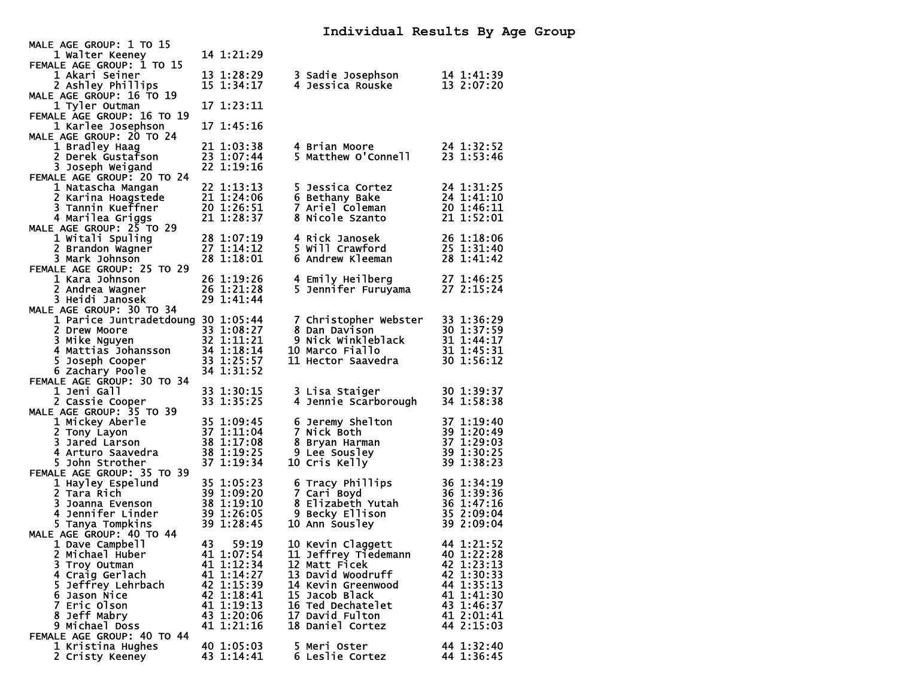| MALE AGE GROUP: 1 TO 15            |    |            |                                                                                                                                                              |                                                      |
|------------------------------------|----|------------|--------------------------------------------------------------------------------------------------------------------------------------------------------------|------------------------------------------------------|
| 1 Walter Keeney                    |    | 14 1:21:29 |                                                                                                                                                              |                                                      |
| FEMALE AGE GROUP: 1 TO 15          |    |            |                                                                                                                                                              |                                                      |
| 1 Akari Seiner                     |    | 13 1:28:29 | 3 Sadie Josephson                                                                                                                                            | 14 1:41:39                                           |
| 2 Ashley Phillips                  |    | 15 1:34:17 | 4 Jessica Rouske                                                                                                                                             | 13 2:07:20                                           |
| MALE AGE GROUP: 16 TO 19           |    |            |                                                                                                                                                              |                                                      |
| 1 Tyler Outman                     |    | 17 1:23:11 |                                                                                                                                                              |                                                      |
| FEMALE AGE GROUP: 16 TO 19         |    |            |                                                                                                                                                              |                                                      |
| 1 Karlee Josephson                 |    | 17 1:45:16 |                                                                                                                                                              |                                                      |
| MALE AGE GROUP: 20 TO 24           |    |            |                                                                                                                                                              | $24$ 1:32:52<br>23 1:52                              |
| 1 Bradley Haag                     |    | 21 1:03:38 | 4 Brian Moore                                                                                                                                                |                                                      |
| 2 Derek Gustafson                  |    | 23 1:07:44 | 5 Matthew O'Connell                                                                                                                                          |                                                      |
| 3 Joseph Weigand                   |    | 22 1:19:16 |                                                                                                                                                              |                                                      |
| FEMALE AGE GROUP: 20 TO 24         |    |            |                                                                                                                                                              |                                                      |
| 1 Natascha Mangan                  |    | 22 1:13:13 | 5 Jessica Cortez                                                                                                                                             | 24 1:31:25                                           |
| 2 Karina Hoagstede                 |    | 21 1:24:06 | 6 Bethany Bake                                                                                                                                               | 24 1:41:10                                           |
| 3 Tannin Kueffner                  |    | 20 1:26:51 | 7 Ariel Coleman                                                                                                                                              | 20 1:46:11                                           |
| 4 Marilea Griggs                   |    | 21 1:28:37 | 8 Nicole Szanto                                                                                                                                              | 21 1:52:01                                           |
| MALE AGE GROUP: 25 TO 29           |    |            |                                                                                                                                                              |                                                      |
| 1 Witali Spuling                   |    | 28 1:07:19 | 4 Rick Janosek                                                                                                                                               | 26 1:18:06                                           |
| 2 Brandon Wagner                   |    | 27 1:14:12 | 5 Will Crawford                                                                                                                                              | 25 1:31:40                                           |
|                                    |    |            |                                                                                                                                                              | 28 1:41:42                                           |
| 3 Mark Johnson                     |    | 28 1:18:01 | 6 Andrew Kleeman                                                                                                                                             |                                                      |
| FEMALE AGE GROUP: 25 TO 29         |    |            |                                                                                                                                                              |                                                      |
| 1 Kara Johnson                     |    | 26 1:19:26 |                                                                                                                                                              |                                                      |
| 2 Andrea Wagner                    |    | 26 1:21:28 |                                                                                                                                                              |                                                      |
| 3 Heidi Janosek                    |    | 29 1:41:44 |                                                                                                                                                              |                                                      |
| MALE AGE GROUP: 30 TO 34           |    |            |                                                                                                                                                              |                                                      |
| 1 Parice Juntradetdoung 30 1:05:44 |    |            | 7 Christopher Webster 33 1:36:29<br>8 Dan Davison 30 1:37:59<br>9 Nick Winkleblack 31 1:44:17<br>10 Marco Fiallo 31 1:45:31<br>11 Hector Saavedra 30 1:56:12 |                                                      |
| 2 Drew Moore                       |    | 33 1:08:27 |                                                                                                                                                              |                                                      |
| 3 Mike Nguyen                      |    | 32 1:11:21 |                                                                                                                                                              |                                                      |
| 4 Mattias Johansson                |    | 34 1:18:14 |                                                                                                                                                              |                                                      |
| 5 Joseph Cooper                    |    | 33 1:25:57 | 11 Hector Saavedra                                                                                                                                           | 30 1:56:12                                           |
| 6 Zachary Poole                    |    | 34 1:31:52 |                                                                                                                                                              |                                                      |
| FEMALE AGE GROUP: 30 TO 34         |    |            |                                                                                                                                                              |                                                      |
| 1 Jeni Gall                        |    | 33 1:30:15 |                                                                                                                                                              | 30 1:39:37                                           |
| 2 Cassie Cooper                    |    | 33 1:35:25 |                                                                                                                                                              | 34 1:58:38                                           |
| MALE AGE GROUP: 35 TO 39           |    |            | <b>4 Jennie Scarborough</b>                                                                                                                                  |                                                      |
| 1 Mickey Aberle                    |    | 35 1:09:45 | 6 Jeremy Shelton                                                                                                                                             | 37 1:19:40<br>39 1:20:49<br>37 1:29:03<br>30 1:29:03 |
| 2 Tony Layon                       |    | 37 1:11:04 | 7 Nick Both                                                                                                                                                  |                                                      |
| 3 Jared Larson                     |    | 38 1:17:08 | 8 Bryan Harman                                                                                                                                               |                                                      |
| 4 Arturo Saavedra                  |    | 38 1:19:25 | <b>9 Lee Sousley</b>                                                                                                                                         | 39 1:30:25                                           |
| 5 John Strother                    |    | 37 1:19:34 |                                                                                                                                                              | 39 1:38:23                                           |
|                                    |    |            | 10 Cris Kelly                                                                                                                                                |                                                      |
| FEMALE AGE GROUP: 35 TO 39         |    |            |                                                                                                                                                              |                                                      |
| 1 Hayley Espelund                  |    | 35 1:05:23 | 6 Tracy Phillips                                                                                                                                             | 36 1:34:19                                           |
| 2 Tara Rich                        |    | 39 1:09:20 | 7 Cari Boyd<br>7 Carı אפט 7 Carı<br>8 Elizabeth Yutah<br>ברים היווחים                                                                                        | 36 1:39:36                                           |
| 3 Joanna Evenson                   |    | 38 1:19:10 |                                                                                                                                                              |                                                      |
| 4 Jennifer Linder                  |    | 39 1:26:05 | 9 Becky Ellison                                                                                                                                              | 36 1:47:16<br>35 2:09:04<br>39 2:09:04               |
| 5 Tanya Tompkins                   |    | 39 1:28:45 | 10 Ann Sousley                                                                                                                                               | 39 2:09:04                                           |
| MALE AGE GROUP: 40 TO 44           |    |            |                                                                                                                                                              |                                                      |
| 1 Dave Campbell                    | 43 | 59:19      | 10 Kevin Claggett                                                                                                                                            | 44 1:21:52                                           |
| 2 Michael Huber                    |    | 41 1:07:54 | 11 Jeffrey Tiedemann                                                                                                                                         | 40 1:22:28                                           |
| 3 Troy Outman                      |    | 41 1:12:34 | 12 Matt Ficek                                                                                                                                                | 42 1:23:13                                           |
| 4 Craig Gerlach                    |    | 41 1:14:27 | 13 David Woodruff                                                                                                                                            | 42 1:30:33                                           |
| 5 Jeffrey Lehrbach                 |    | 42 1:15:39 | 14 Kevin Greenwood                                                                                                                                           | 44 1:35:13                                           |
| 6 Jason Nice                       |    | 42 1:18:41 | 15 Jacob Black                                                                                                                                               | 41 1:41:30                                           |
| 7 Eric Olson                       |    | 41 1:19:13 | 16 Ted Dechatelet                                                                                                                                            | 43 1:46:37                                           |
| 8 Jeff Mabry                       |    | 43 1:20:06 | 17 David Fulton                                                                                                                                              | 41 2:01:41                                           |
| 9 Michael Doss                     |    | 41 1:21:16 | 18 Daniel Cortez                                                                                                                                             | 44 2:15:03                                           |
| FEMALE AGE GROUP: 40 TO 44         |    |            |                                                                                                                                                              |                                                      |
| 1 Kristina Hughes                  |    | 40 1:05:03 | 5 Meri Oster                                                                                                                                                 | 44 1:32:40                                           |
| 2 Cristy Keeney                    |    | 43 1:14:41 | 6 Leslie Cortez                                                                                                                                              | 44 1:36:45                                           |
|                                    |    |            |                                                                                                                                                              |                                                      |